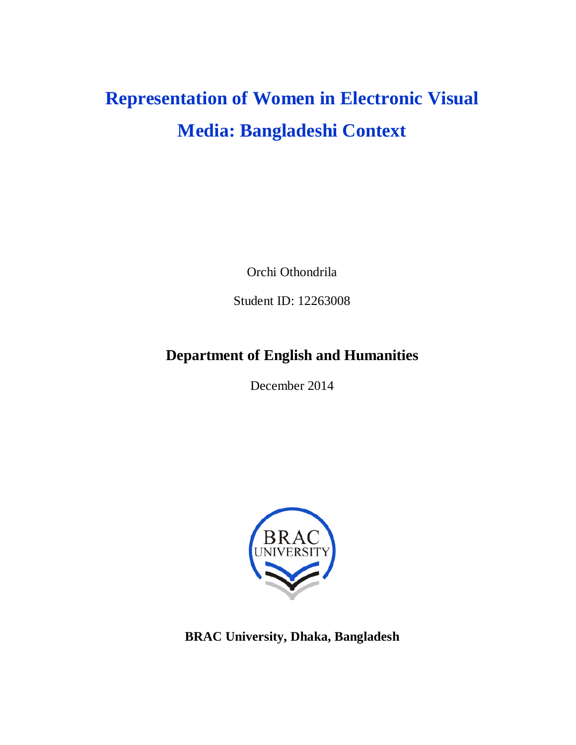# **Representation of Women in Electronic Visual Media: Bangladeshi Context**

Orchi Othondrila

Student ID: 12263008

# **Department of English and Humanities**

December 2014



**BRAC University, Dhaka, Bangladesh**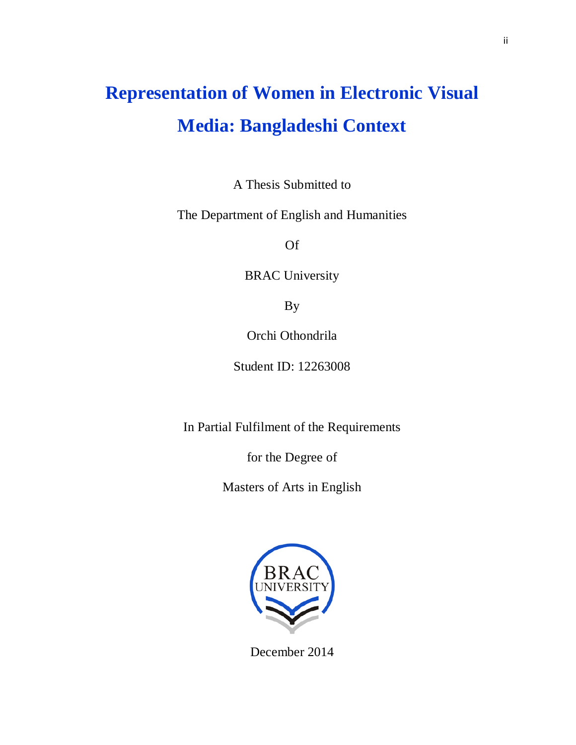# **Representation of Women in Electronic Visual Media: Bangladeshi Context**

A Thesis Submitted to

The Department of English and Humanities

Of

BRAC University

By

Orchi Othondrila

Student ID: 12263008

In Partial Fulfilment of the Requirements

for the Degree of

Masters of Arts in English



December 2014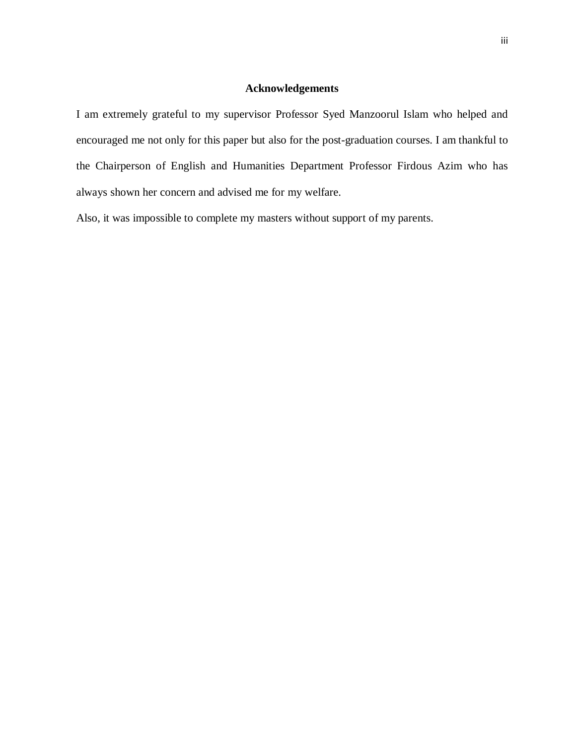### **Acknowledgements**

I am extremely grateful to my supervisor Professor Syed Manzoorul Islam who helped and encouraged me not only for this paper but also for the post-graduation courses. I am thankful to the Chairperson of English and Humanities Department Professor Firdous Azim who has always shown her concern and advised me for my welfare.

Also, it was impossible to complete my masters without support of my parents.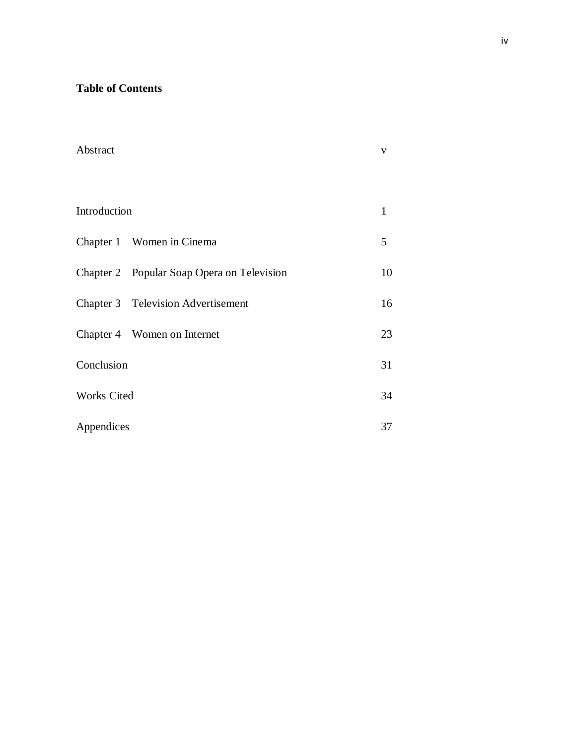### **Table of Contents**

| Abstract           |                                            | V            |
|--------------------|--------------------------------------------|--------------|
| Introduction       |                                            | $\mathbf{1}$ |
|                    | Chapter 1 Women in Cinema                  | 5            |
|                    | Chapter 2 Popular Soap Opera on Television | 10           |
|                    | Chapter 3 Television Advertisement         | 16           |
|                    | Chapter 4 Women on Internet                | 23           |
| Conclusion         |                                            | 31           |
| <b>Works Cited</b> |                                            | 34           |
| Appendices         |                                            | 37           |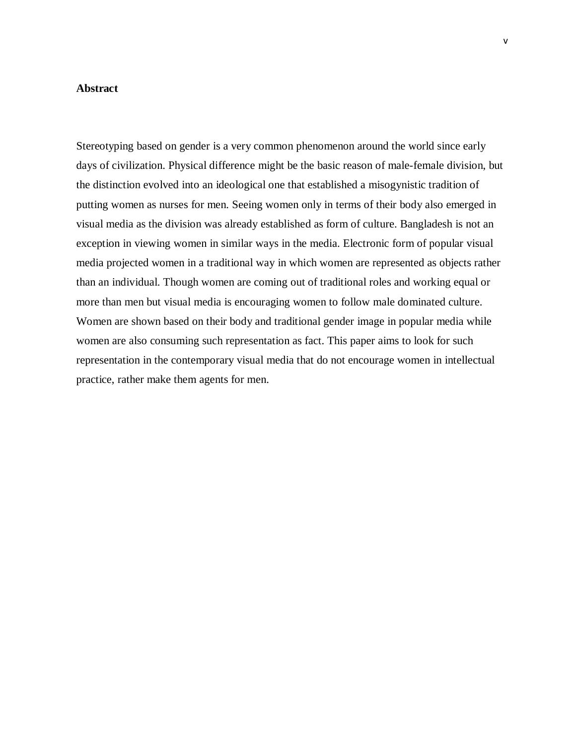#### **Abstract**

Stereotyping based on gender is a very common phenomenon around the world since early days of civilization. Physical difference might be the basic reason of male-female division, but the distinction evolved into an ideological one that established a misogynistic tradition of putting women as nurses for men. Seeing women only in terms of their body also emerged in visual media as the division was already established as form of culture. Bangladesh is not an exception in viewing women in similar ways in the media. Electronic form of popular visual media projected women in a traditional way in which women are represented as objects rather than an individual. Though women are coming out of traditional roles and working equal or more than men but visual media is encouraging women to follow male dominated culture. Women are shown based on their body and traditional gender image in popular media while women are also consuming such representation as fact. This paper aims to look for such representation in the contemporary visual media that do not encourage women in intellectual practice, rather make them agents for men.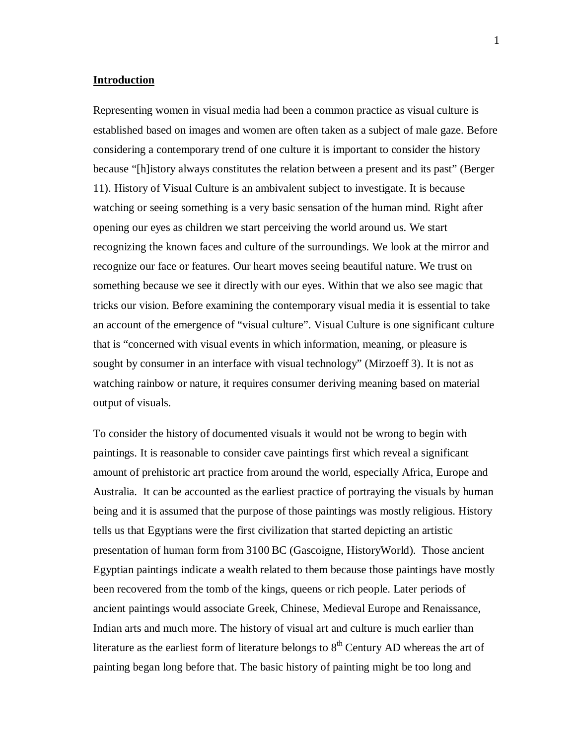#### **Introduction**

Representing women in visual media had been a common practice as visual culture is established based on images and women are often taken as a subject of male gaze. Before considering a contemporary trend of one culture it is important to consider the history because "[h]istory always constitutes the relation between a present and its past" (Berger 11). History of Visual Culture is an ambivalent subject to investigate. It is because watching or seeing something is a very basic sensation of the human mind. Right after opening our eyes as children we start perceiving the world around us. We start recognizing the known faces and culture of the surroundings. We look at the mirror and recognize our face or features. Our heart moves seeing beautiful nature. We trust on something because we see it directly with our eyes. Within that we also see magic that tricks our vision. Before examining the contemporary visual media it is essential to take an account of the emergence of "visual culture". Visual Culture is one significant culture that is "concerned with visual events in which information, meaning, or pleasure is sought by consumer in an interface with visual technology" (Mirzoeff 3). It is not as watching rainbow or nature, it requires consumer deriving meaning based on material output of visuals.

To consider the history of documented visuals it would not be wrong to begin with paintings. It is reasonable to consider cave paintings first which reveal a significant amount of prehistoric art practice from around the world, especially Africa, Europe and Australia. It can be accounted as the earliest practice of portraying the visuals by human being and it is assumed that the purpose of those paintings was mostly religious. History tells us that Egyptians were the first civilization that started depicting an artistic presentation of human form from 3100 BC (Gascoigne, HistoryWorld). Those ancient Egyptian paintings indicate a wealth related to them because those paintings have mostly been recovered from the tomb of the kings, queens or rich people. Later periods of ancient paintings would associate Greek, Chinese, Medieval Europe and Renaissance, Indian arts and much more. The history of visual art and culture is much earlier than literature as the earliest form of literature belongs to  $8<sup>th</sup>$  Century AD whereas the art of painting began long before that. The basic history of painting might be too long and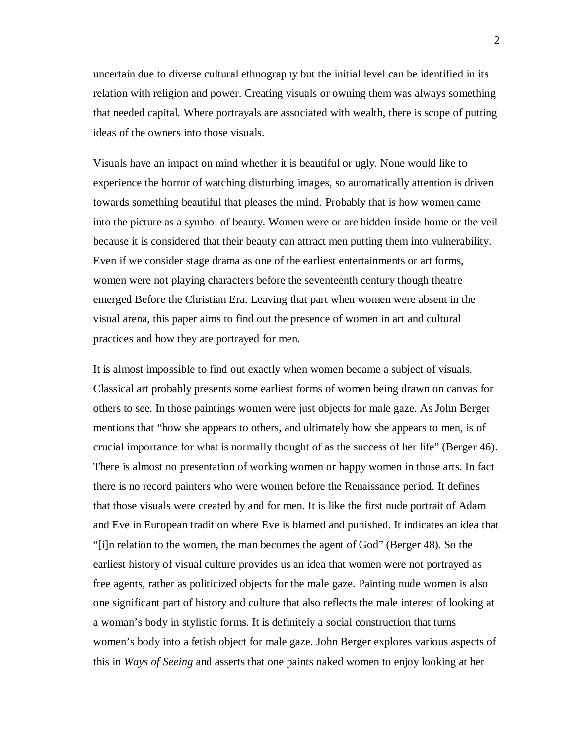uncertain due to diverse cultural ethnography but the initial level can be identified in its relation with religion and power. Creating visuals or owning them was always something that needed capital. Where portrayals are associated with wealth, there is scope of putting ideas of the owners into those visuals.

Visuals have an impact on mind whether it is beautiful or ugly. None would like to experience the horror of watching disturbing images, so automatically attention is driven towards something beautiful that pleases the mind. Probably that is how women came into the picture as a symbol of beauty. Women were or are hidden inside home or the veil because it is considered that their beauty can attract men putting them into vulnerability. Even if we consider stage drama as one of the earliest entertainments or art forms, women were not playing characters before the seventeenth century though theatre emerged Before the Christian Era. Leaving that part when women were absent in the visual arena, this paper aims to find out the presence of women in art and cultural practices and how they are portrayed for men.

It is almost impossible to find out exactly when women became a subject of visuals. Classical art probably presents some earliest forms of women being drawn on canvas for others to see. In those paintings women were just objects for male gaze. As John Berger mentions that "how she appears to others, and ultimately how she appears to men, is of crucial importance for what is normally thought of as the success of her life" (Berger 46). There is almost no presentation of working women or happy women in those arts. In fact there is no record painters who were women before the Renaissance period. It defines that those visuals were created by and for men. It is like the first nude portrait of Adam and Eve in European tradition where Eve is blamed and punished. It indicates an idea that "[i]n relation to the women, the man becomes the agent of God" (Berger 48). So the earliest history of visual culture provides us an idea that women were not portrayed as free agents, rather as politicized objects for the male gaze. Painting nude women is also one significant part of history and culture that also reflects the male interest of looking at a woman's body in stylistic forms. It is definitely a social construction that turns women's body into a fetish object for male gaze. John Berger explores various aspects of this in *Ways of Seeing* and asserts that one paints naked women to enjoy looking at her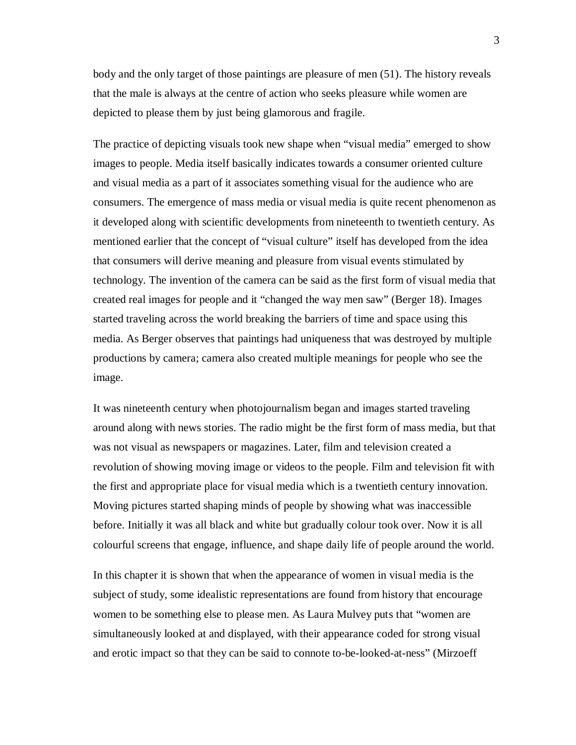body and the only target of those paintings are pleasure of men (51). The history reveals that the male is always at the centre of action who seeks pleasure while women are depicted to please them by just being glamorous and fragile.

The practice of depicting visuals took new shape when "visual media" emerged to show images to people. Media itself basically indicates towards a consumer oriented culture and visual media as a part of it associates something visual for the audience who are consumers. The emergence of mass media or visual media is quite recent phenomenon as it developed along with scientific developments from nineteenth to twentieth century. As mentioned earlier that the concept of "visual culture" itself has developed from the idea that consumers will derive meaning and pleasure from visual events stimulated by technology. The invention of the camera can be said as the first form of visual media that created real images for people and it "changed the way men saw" (Berger 18). Images started traveling across the world breaking the barriers of time and space using this media. As Berger observes that paintings had uniqueness that was destroyed by multiple productions by camera; camera also created multiple meanings for people who see the image.

It was nineteenth century when photojournalism began and images started traveling around along with news stories. The radio might be the first form of mass media, but that was not visual as newspapers or magazines. Later, film and television created a revolution of showing moving image or videos to the people. Film and television fit with the first and appropriate place for visual media which is a twentieth century innovation. Moving pictures started shaping minds of people by showing what was inaccessible before. Initially it was all black and white but gradually colour took over. Now it is all colourful screens that engage, influence, and shape daily life of people around the world.

In this chapter it is shown that when the appearance of women in visual media is the subject of study, some idealistic representations are found from history that encourage women to be something else to please men. As Laura Mulvey puts that "women are simultaneously looked at and displayed, with their appearance coded for strong visual and erotic impact so that they can be said to connote to-be-looked-at-ness" (Mirzoeff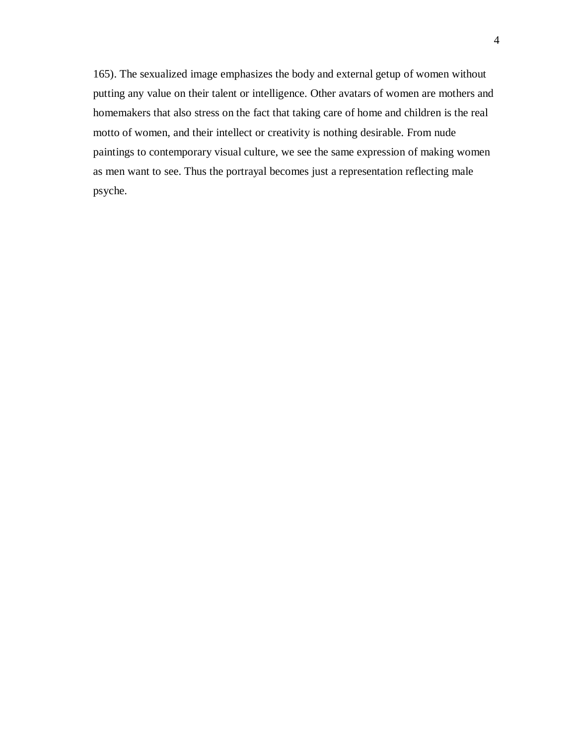165). The sexualized image emphasizes the body and external getup of women without putting any value on their talent or intelligence. Other avatars of women are mothers and homemakers that also stress on the fact that taking care of home and children is the real motto of women, and their intellect or creativity is nothing desirable. From nude paintings to contemporary visual culture, we see the same expression of making women as men want to see. Thus the portrayal becomes just a representation reflecting male psyche.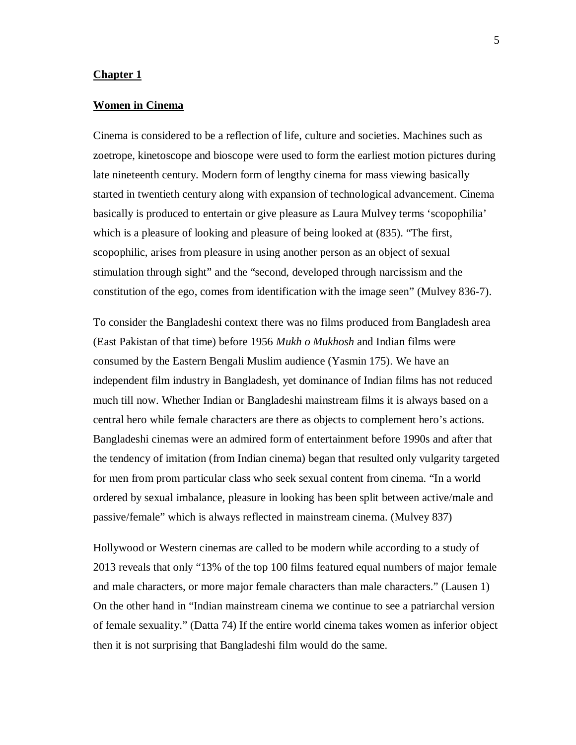#### **Chapter 1**

#### **Women in Cinema**

Cinema is considered to be a reflection of life, culture and societies. Machines such as zoetrope, kinetoscope and bioscope were used to form the earliest motion pictures during late nineteenth century. Modern form of lengthy cinema for mass viewing basically started in twentieth century along with expansion of technological advancement. Cinema basically is produced to entertain or give pleasure as Laura Mulvey terms 'scopophilia' which is a pleasure of looking and pleasure of being looked at (835). "The first, scopophilic, arises from pleasure in using another person as an object of sexual stimulation through sight" and the "second, developed through narcissism and the constitution of the ego, comes from identification with the image seen" (Mulvey 836-7).

To consider the Bangladeshi context there was no films produced from Bangladesh area (East Pakistan of that time) before 1956 *Mukh o Mukhosh* and Indian films were consumed by the Eastern Bengali Muslim audience (Yasmin 175). We have an independent film industry in Bangladesh, yet dominance of Indian films has not reduced much till now. Whether Indian or Bangladeshi mainstream films it is always based on a central hero while female characters are there as objects to complement hero's actions. Bangladeshi cinemas were an admired form of entertainment before 1990s and after that the tendency of imitation (from Indian cinema) began that resulted only vulgarity targeted for men from prom particular class who seek sexual content from cinema. "In a world ordered by sexual imbalance, pleasure in looking has been split between active/male and passive/female" which is always reflected in mainstream cinema. (Mulvey 837)

Hollywood or Western cinemas are called to be modern while according to a study of 2013 reveals that only "13% of the top 100 films featured equal numbers of major female and male characters, or more major female characters than male characters." (Lausen 1) On the other hand in "Indian mainstream cinema we continue to see a patriarchal version of female sexuality." (Datta 74) If the entire world cinema takes women as inferior object then it is not surprising that Bangladeshi film would do the same.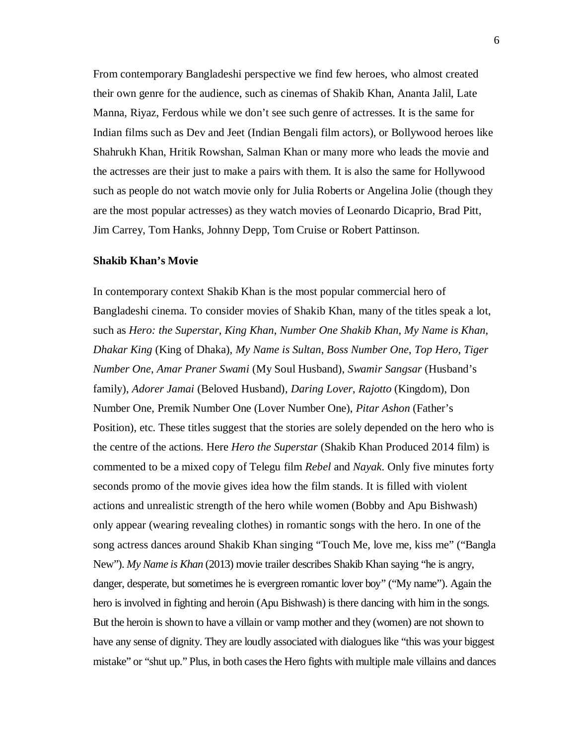From contemporary Bangladeshi perspective we find few heroes, who almost created their own genre for the audience, such as cinemas of Shakib Khan, Ananta Jalil, Late Manna, Riyaz, Ferdous while we don't see such genre of actresses. It is the same for Indian films such as Dev and Jeet (Indian Bengali film actors), or Bollywood heroes like Shahrukh Khan, Hritik Rowshan, Salman Khan or many more who leads the movie and the actresses are their just to make a pairs with them. It is also the same for Hollywood such as people do not watch movie only for Julia Roberts or Angelina Jolie (though they are the most popular actresses) as they watch movies of Leonardo Dicaprio, Brad Pitt, Jim Carrey, Tom Hanks, Johnny Depp, Tom Cruise or Robert Pattinson.

#### **Shakib Khan's Movie**

In contemporary context Shakib Khan is the most popular commercial hero of Bangladeshi cinema. To consider movies of Shakib Khan, many of the titles speak a lot, such as *Hero: the Superstar*, *King Khan*, *Number One Shakib Khan*, *My Name is Khan*, *Dhakar King* (King of Dhaka), *My Name is Sultan*, *Boss Number One*, *Top Hero*, *Tiger Number One*, *Amar Praner Swami* (My Soul Husband), *Swamir Sangsar* (Husband's family), *Adorer Jamai* (Beloved Husband), *Daring Lover*, *Rajotto* (Kingdom), Don Number One, Premik Number One (Lover Number One), *Pitar Ashon* (Father's Position), etc. These titles suggest that the stories are solely depended on the hero who is the centre of the actions. Here *Hero the Superstar* (Shakib Khan Produced 2014 film) is commented to be a mixed copy of Telegu film *Rebel* and *Nayak*. Only five minutes forty seconds promo of the movie gives idea how the film stands. It is filled with violent actions and unrealistic strength of the hero while women (Bobby and Apu Bishwash) only appear (wearing revealing clothes) in romantic songs with the hero. In one of the song actress dances around Shakib Khan singing "Touch Me, love me, kiss me" ("Bangla New"). *My Name is Khan* (2013) movie trailer describes Shakib Khan saying "he is angry, danger, desperate, but sometimes he is evergreen romantic lover boy" ("My name"). Again the hero is involved in fighting and heroin (Apu Bishwash) is there dancing with him in the songs. But the heroin is shown to have a villain or vamp mother and they (women) are not shown to have any sense of dignity. They are loudly associated with dialogues like "this was your biggest mistake" or "shut up." Plus, in both cases the Hero fights with multiple male villains and dances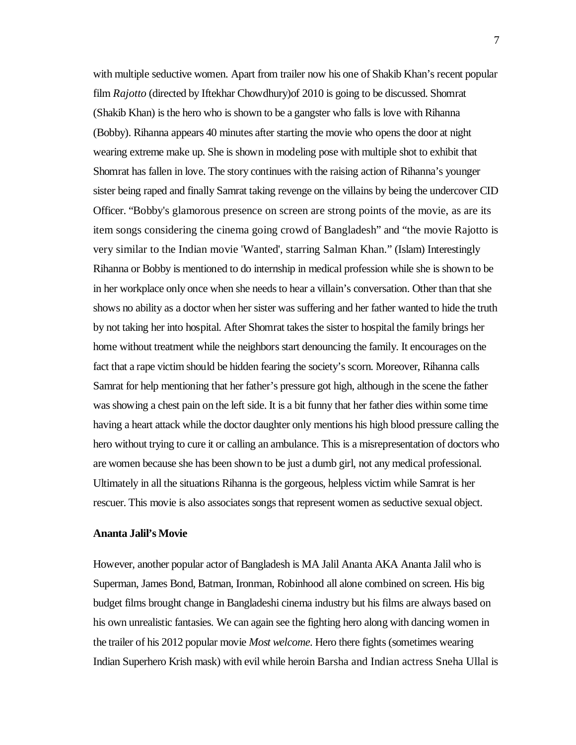with multiple seductive women. Apart from trailer now his one of Shakib Khan's recent popular film *Rajotto* (directed by Iftekhar Chowdhury)of 2010 is going to be discussed. Shomrat (Shakib Khan) is the hero who is shown to be a gangster who falls is love with Rihanna (Bobby). Rihanna appears 40 minutes after starting the movie who opensthe door at night wearing extreme make up. She is shown in modeling pose with multiple shot to exhibit that Shomrat has fallen in love. The story continues with the raising action of Rihanna's younger sister being raped and finally Samrat taking revenge on the villains by being the undercover CID Officer. "Bobby's glamorous presence on screen are strong points of the movie, as are its item songs considering the cinema going crowd of Bangladesh" and "the movie Rajotto is very similar to the Indian movie 'Wanted', starring Salman Khan." (Islam) Interestingly Rihanna or Bobby is mentioned to do internship in medical profession while she is shown to be in her workplace only once when she needs to hear a villain's conversation. Other than that she shows no ability as a doctor when her sister wassuffering and her father wanted to hide the truth by not taking her into hospital. After Shomrat takes the sister to hospital the family brings her home without treatment while the neighbors start denouncing the family. It encourages on the fact that a rape victim should be hidden fearing the society's scorn. Moreover, Rihanna calls Samrat for help mentioning that her father's pressure got high, although in the scene the father wasshowing a chest pain on the left side. It is a bit funny that her father dies within some time having a heart attack while the doctor daughter only mentions his high blood pressure calling the hero without trying to cure it or calling an ambulance. This is a misrepresentation of doctors who are women because she has been shown to be just a dumb girl, not any medical professional. Ultimately in all the situations Rihanna isthe gorgeous, helpless victim while Samrat is her rescuer. This movie is also associates songsthat represent women asseductive sexual object.

#### **Ananta Jalil's Movie**

However, another popular actor of Bangladesh is MA Jalil Ananta AKA Ananta Jalil who is Superman, James Bond, Batman, Ironman, Robinhood all alone combined on screen. His big budget films brought change in Bangladeshi cinema industry but his films are always based on his own unrealistic fantasies. We can again see the fighting hero along with dancing women in the trailer of his 2012 popular movie *Most welcome*. Hero there fights(sometimes wearing Indian Superhero Krish mask) with evil while heroin Barsha and Indian actress Sneha Ullal is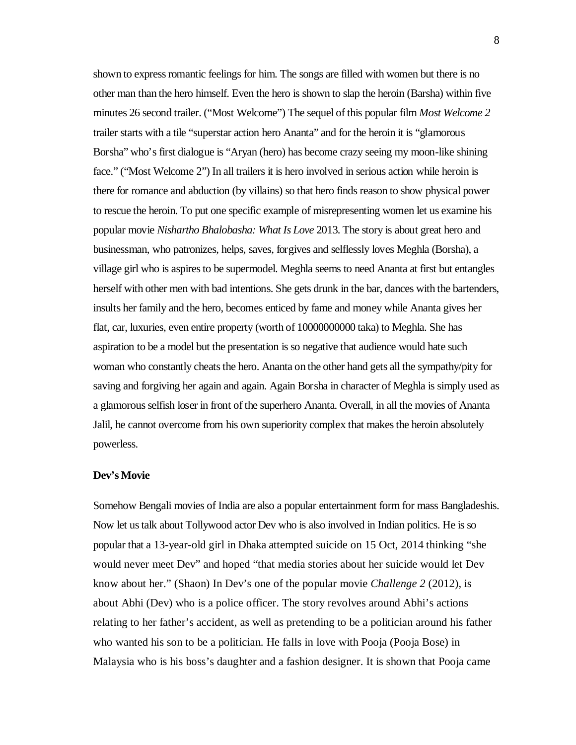shown to express romantic feelings for him. The songs are filled with women but there is no other man than the hero himself. Even the hero is shown to slap the heroin (Barsha) within five minutes 26 second trailer. ("Most Welcome") The sequel of this popular film *Most Welcome 2* trailer starts with a tile "superstar action hero Ananta" and for the heroin it is "glamorous Borsha" who's first dialogue is "Aryan (hero) has become crazy seeing my moon-like shining face." ("Most Welcome 2") In all trailers it is hero involved in serious action while heroin is there for romance and abduction (by villains) so that hero finds reason to show physical power to rescue the heroin. To put one specific example of misrepresenting women let us examine his popular movie *Nishartho Bhalobasha: What Is Love* 2013. The story is about great hero and businessman, who patronizes, helps, saves, forgives and selflessly loves Meghla (Borsha), a village girl who is aspires to be supermodel. Meghla seems to need Ananta at first but entangles herself with other men with bad intentions. She gets drunk in the bar, dances with the bartenders, insults her family and the hero, becomes enticed by fame and money while Ananta gives her flat, car, luxuries, even entire property (worth of 10000000000 taka) to Meghla. She has aspiration to be a model but the presentation is so negative that audience would hate such woman who constantly cheats the hero. Ananta on the other hand gets all the sympathy/pity for saving and forgiving her again and again. Again Borsha in character of Meghla is simply used as a glamorousselfish loser in front of the superhero Ananta. Overall, in all the movies of Ananta Jalil, he cannot overcome from his own superiority complex that makesthe heroin absolutely powerless.

#### **Dev's Movie**

Somehow Bengali movies of India are also a popular entertainment form for mass Bangladeshis. Now let ustalk about Tollywood actor Dev who is also involved in Indian politics. He is so popular that a 13-year-old girl in Dhaka attempted suicide on 15 Oct, 2014 thinking "she would never meet Dev" and hoped "that media stories about her suicide would let Dev know about her." (Shaon) In Dev's one of the popular movie *Challenge 2* (2012), is about Abhi (Dev) who is a police officer. The story revolves around Abhi's actions relating to her father's accident, as well as pretending to be a politician around his father who wanted his son to be a politician. He falls in love with Pooja (Pooja Bose) in Malaysia who is his boss's daughter and a fashion designer. It is shown that Pooja came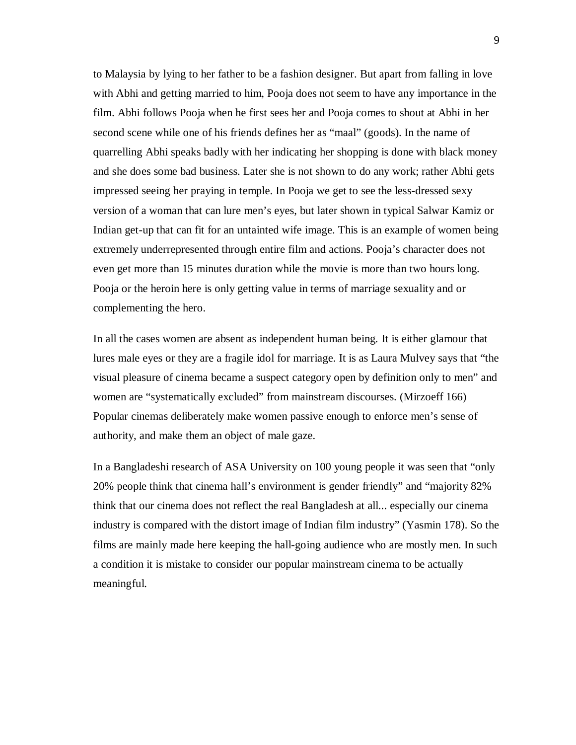to Malaysia by lying to her father to be a fashion designer. But apart from falling in love with Abhi and getting married to him, Pooja does not seem to have any importance in the film. Abhi follows Pooja when he first sees her and Pooja comes to shout at Abhi in her second scene while one of his friends defines her as "maal" (goods). In the name of quarrelling Abhi speaks badly with her indicating her shopping is done with black money and she does some bad business. Later she is not shown to do any work; rather Abhi gets impressed seeing her praying in temple. In Pooja we get to see the less-dressed sexy version of a woman that can lure men's eyes, but later shown in typical Salwar Kamiz or Indian get-up that can fit for an untainted wife image. This is an example of women being extremely underrepresented through entire film and actions. Pooja's character does not even get more than 15 minutes duration while the movie is more than two hours long. Pooja or the heroin here is only getting value in terms of marriage sexuality and or complementing the hero.

In all the cases women are absent as independent human being. It is either glamour that lures male eyes or they are a fragile idol for marriage. It is as Laura Mulvey says that "the visual pleasure of cinema became a suspect category open by definition only to men" and women are "systematically excluded" from mainstream discourses. (Mirzoeff 166) Popular cinemas deliberately make women passive enough to enforce men's sense of authority, and make them an object of male gaze.

In a Bangladeshi research of ASA University on 100 young people it was seen that "only 20% people think that cinema hall's environment is gender friendly" and "majority 82% think that our cinema does not reflect the real Bangladesh at all... especially our cinema industry is compared with the distort image of Indian film industry" (Yasmin 178). So the films are mainly made here keeping the hall-going audience who are mostly men. In such a condition it is mistake to consider our popular mainstream cinema to be actually meaningful.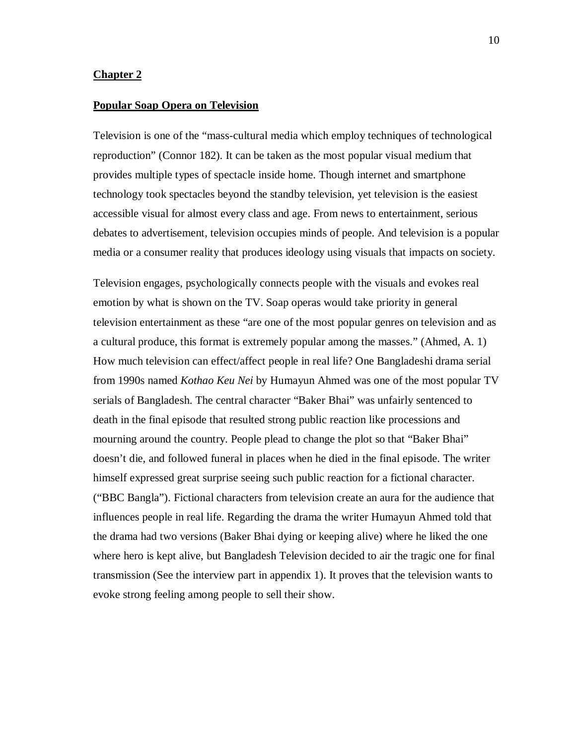#### **Chapter 2**

#### **Popular Soap Opera on Television**

Television is one of the "mass-cultural media which employ techniques of technological reproduction" (Connor 182). It can be taken as the most popular visual medium that provides multiple types of spectacle inside home. Though internet and smartphone technology took spectacles beyond the standby television, yet television is the easiest accessible visual for almost every class and age. From news to entertainment, serious debates to advertisement, television occupies minds of people. And television is a popular media or a consumer reality that produces ideology using visuals that impacts on society.

Television engages, psychologically connects people with the visuals and evokes real emotion by what is shown on the TV. Soap operas would take priority in general television entertainment as these "are one of the most popular genres on television and as a cultural produce, this format is extremely popular among the masses." (Ahmed, A. 1) How much television can effect/affect people in real life? One Bangladeshi drama serial from 1990s named *Kothao Keu Nei* by Humayun Ahmed was one of the most popular TV serials of Bangladesh. The central character "Baker Bhai" was unfairly sentenced to death in the final episode that resulted strong public reaction like processions and mourning around the country. People plead to change the plot so that "Baker Bhai" doesn't die, and followed funeral in places when he died in the final episode. The writer himself expressed great surprise seeing such public reaction for a fictional character. ("BBC Bangla"). Fictional characters from television create an aura for the audience that influences people in real life. Regarding the drama the writer Humayun Ahmed told that the drama had two versions (Baker Bhai dying or keeping alive) where he liked the one where hero is kept alive, but Bangladesh Television decided to air the tragic one for final transmission (See the interview part in appendix 1). It proves that the television wants to evoke strong feeling among people to sell their show.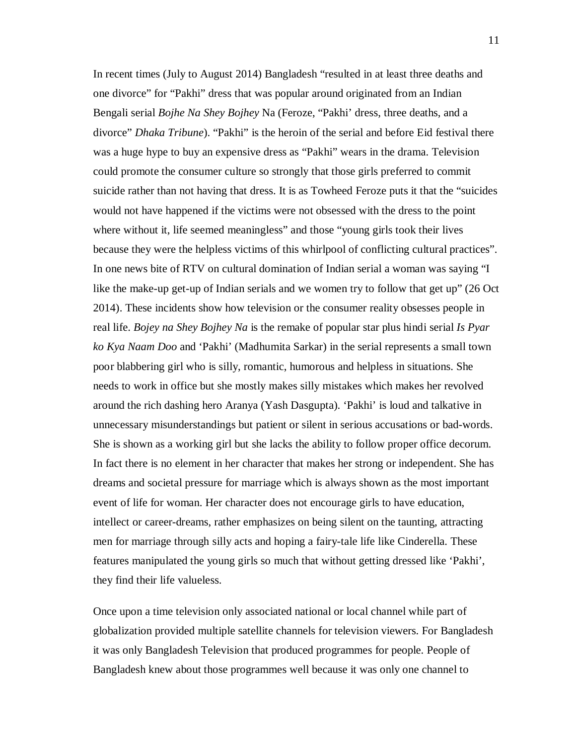In recent times (July to August 2014) Bangladesh "resulted in at least three deaths and one divorce" for "Pakhi" dress that was popular around originated from an Indian Bengali serial *Bojhe Na Shey Bojhey* Na (Feroze, "Pakhi' dress, three deaths, and a divorce" *Dhaka Tribune*). "Pakhi" is the heroin of the serial and before Eid festival there was a huge hype to buy an expensive dress as "Pakhi" wears in the drama. Television could promote the consumer culture so strongly that those girls preferred to commit suicide rather than not having that dress. It is as Towheed Feroze puts it that the "suicides would not have happened if the victims were not obsessed with the dress to the point where without it, life seemed meaningless" and those "young girls took their lives because they were the helpless victims of this whirlpool of conflicting cultural practices". In one news bite of RTV on cultural domination of Indian serial a woman was saying "I like the make-up get-up of Indian serials and we women try to follow that get up" (26 Oct 2014). These incidents show how television or the consumer reality obsesses people in real life. *Bojey na Shey Bojhey Na* is the remake of popular star plus hindi serial *Is Pyar ko Kya Naam Doo* and 'Pakhi' (Madhumita Sarkar) in the serial represents a small town poor blabbering girl who is silly, romantic, humorous and helpless in situations. She needs to work in office but she mostly makes silly mistakes which makes her revolved around the rich dashing hero Aranya (Yash Dasgupta). 'Pakhi' is loud and talkative in unnecessary misunderstandings but patient or silent in serious accusations or bad-words. She is shown as a working girl but she lacks the ability to follow proper office decorum. In fact there is no element in her character that makes her strong or independent. She has dreams and societal pressure for marriage which is always shown as the most important event of life for woman. Her character does not encourage girls to have education, intellect or career-dreams, rather emphasizes on being silent on the taunting, attracting men for marriage through silly acts and hoping a fairy-tale life like Cinderella. These features manipulated the young girls so much that without getting dressed like 'Pakhi', they find their life valueless.

Once upon a time television only associated national or local channel while part of globalization provided multiple satellite channels for television viewers. For Bangladesh it was only Bangladesh Television that produced programmes for people. People of Bangladesh knew about those programmes well because it was only one channel to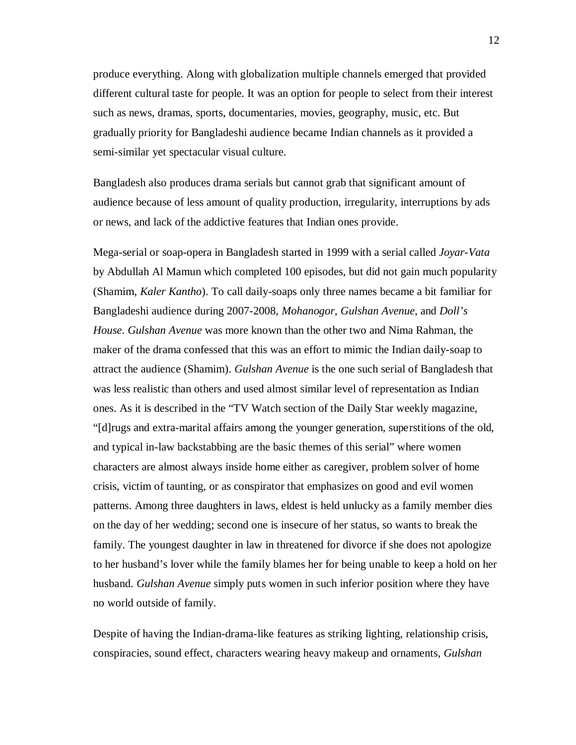produce everything. Along with globalization multiple channels emerged that provided different cultural taste for people. It was an option for people to select from their interest such as news, dramas, sports, documentaries, movies, geography, music, etc. But gradually priority for Bangladeshi audience became Indian channels as it provided a semi-similar yet spectacular visual culture.

Bangladesh also produces drama serials but cannot grab that significant amount of audience because of less amount of quality production, irregularity, interruptions by ads or news, and lack of the addictive features that Indian ones provide.

Mega-serial or soap-opera in Bangladesh started in 1999 with a serial called *Joyar-Vata* by Abdullah Al Mamun which completed 100 episodes, but did not gain much popularity (Shamim, *Kaler Kantho*). To call daily-soaps only three names became a bit familiar for Bangladeshi audience during 2007-2008, *Mohanogor*, *Gulshan Avenue*, and *Doll's House*. *Gulshan Avenue* was more known than the other two and Nima Rahman, the maker of the drama confessed that this was an effort to mimic the Indian daily-soap to attract the audience (Shamim). *Gulshan Avenue* is the one such serial of Bangladesh that was less realistic than others and used almost similar level of representation as Indian ones. As it is described in the "TV Watch section of the Daily Star weekly magazine, "[d]rugs and extra-marital affairs among the younger generation, superstitions of the old, and typical in-law backstabbing are the basic themes of this serial" where women characters are almost always inside home either as caregiver, problem solver of home crisis, victim of taunting, or as conspirator that emphasizes on good and evil women patterns. Among three daughters in laws, eldest is held unlucky as a family member dies on the day of her wedding; second one is insecure of her status, so wants to break the family. The youngest daughter in law in threatened for divorce if she does not apologize to her husband's lover while the family blames her for being unable to keep a hold on her husband. *Gulshan Avenue* simply puts women in such inferior position where they have no world outside of family.

Despite of having the Indian-drama-like features as striking lighting, relationship crisis, conspiracies, sound effect, characters wearing heavy makeup and ornaments, *Gulshan*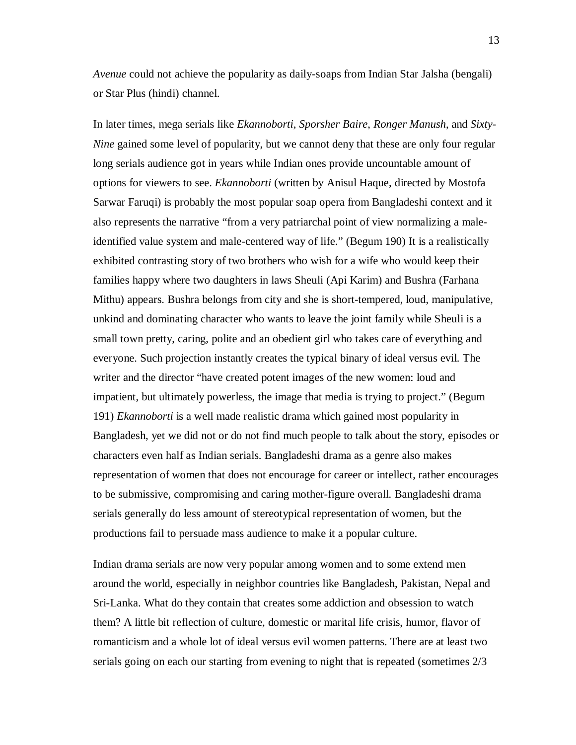*Avenue* could not achieve the popularity as daily-soaps from Indian Star Jalsha (bengali) or Star Plus (hindi) channel.

In later times, mega serials like *Ekannoborti*, *Sporsher Baire*, *Ronger Manush*, and *Sixty-Nine* gained some level of popularity, but we cannot deny that these are only four regular long serials audience got in years while Indian ones provide uncountable amount of options for viewers to see. *Ekannoborti* (written by Anisul Haque, directed by Mostofa Sarwar Faruqi) is probably the most popular soap opera from Bangladeshi context and it also represents the narrative "from a very patriarchal point of view normalizing a maleidentified value system and male-centered way of life." (Begum 190) It is a realistically exhibited contrasting story of two brothers who wish for a wife who would keep their families happy where two daughters in laws Sheuli (Api Karim) and Bushra (Farhana Mithu) appears. Bushra belongs from city and she is short-tempered, loud, manipulative, unkind and dominating character who wants to leave the joint family while Sheuli is a small town pretty, caring, polite and an obedient girl who takes care of everything and everyone. Such projection instantly creates the typical binary of ideal versus evil. The writer and the director "have created potent images of the new women: loud and impatient, but ultimately powerless, the image that media is trying to project." (Begum 191) *Ekannoborti* is a well made realistic drama which gained most popularity in Bangladesh, yet we did not or do not find much people to talk about the story, episodes or characters even half as Indian serials. Bangladeshi drama as a genre also makes representation of women that does not encourage for career or intellect, rather encourages to be submissive, compromising and caring mother-figure overall. Bangladeshi drama serials generally do less amount of stereotypical representation of women, but the productions fail to persuade mass audience to make it a popular culture.

Indian drama serials are now very popular among women and to some extend men around the world, especially in neighbor countries like Bangladesh, Pakistan, Nepal and Sri-Lanka. What do they contain that creates some addiction and obsession to watch them? A little bit reflection of culture, domestic or marital life crisis, humor, flavor of romanticism and a whole lot of ideal versus evil women patterns. There are at least two serials going on each our starting from evening to night that is repeated (sometimes  $2/3$ )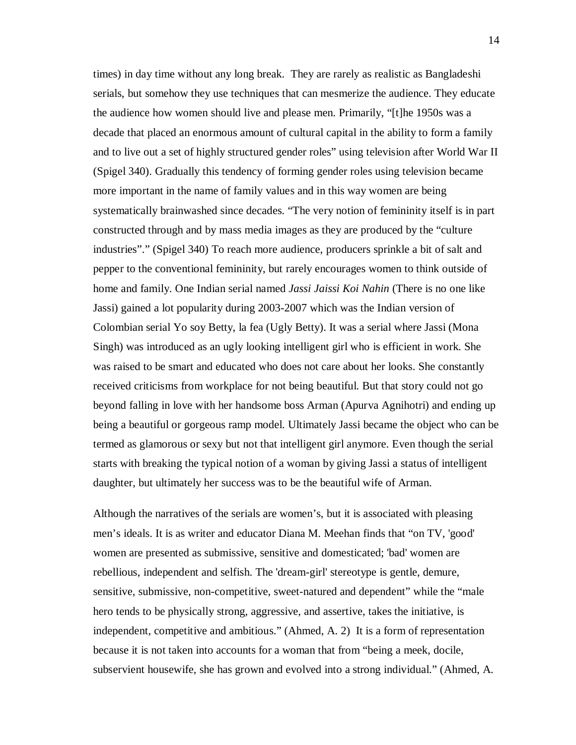times) in day time without any long break. They are rarely as realistic as Bangladeshi serials, but somehow they use techniques that can mesmerize the audience. They educate the audience how women should live and please men. Primarily, "[t]he 1950s was a decade that placed an enormous amount of cultural capital in the ability to form a family and to live out a set of highly structured gender roles" using television after World War II (Spigel 340). Gradually this tendency of forming gender roles using television became more important in the name of family values and in this way women are being systematically brainwashed since decades. "The very notion of femininity itself is in part constructed through and by mass media images as they are produced by the "culture industries"." (Spigel 340) To reach more audience, producers sprinkle a bit of salt and pepper to the conventional femininity, but rarely encourages women to think outside of home and family. One Indian serial named *Jassi Jaissi Koi Nahin* (There is no one like Jassi) gained a lot popularity during 2003-2007 which was the Indian version of Colombian serial Yo soy Betty, la fea (Ugly Betty). It was a serial where Jassi (Mona Singh) was introduced as an ugly looking intelligent girl who is efficient in work. She was raised to be smart and educated who does not care about her looks. She constantly received criticisms from workplace for not being beautiful. But that story could not go beyond falling in love with her handsome boss Arman (Apurva Agnihotri) and ending up being a beautiful or gorgeous ramp model. Ultimately Jassi became the object who can be termed as glamorous or sexy but not that intelligent girl anymore. Even though the serial starts with breaking the typical notion of a woman by giving Jassi a status of intelligent daughter, but ultimately her success was to be the beautiful wife of Arman.

Although the narratives of the serials are women's, but it is associated with pleasing men's ideals. It is as writer and educator Diana M. Meehan finds that "on TV, 'good' women are presented as submissive, sensitive and domesticated; 'bad' women are rebellious, independent and selfish. The 'dream-girl' stereotype is gentle, demure, sensitive, submissive, non-competitive, sweet-natured and dependent" while the "male hero tends to be physically strong, aggressive, and assertive, takes the initiative, is independent, competitive and ambitious." (Ahmed, A. 2) It is a form of representation because it is not taken into accounts for a woman that from "being a meek, docile, subservient housewife, she has grown and evolved into a strong individual." (Ahmed, A.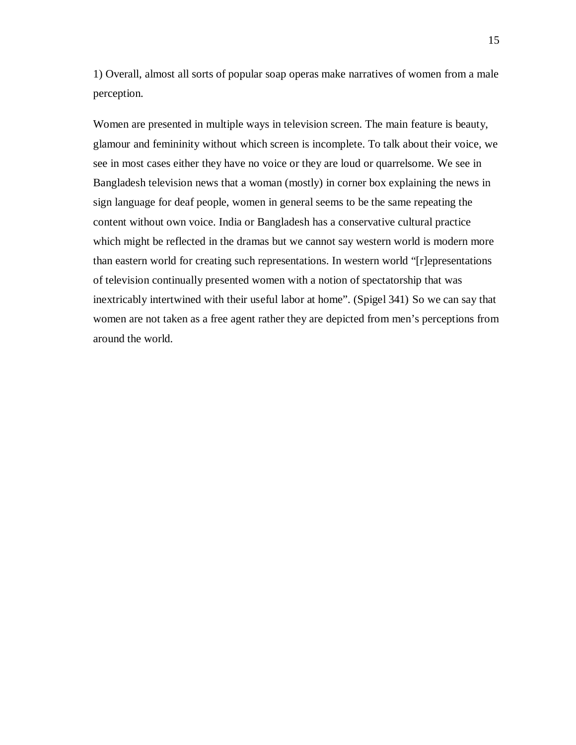1) Overall, almost all sorts of popular soap operas make narratives of women from a male perception.

Women are presented in multiple ways in television screen. The main feature is beauty, glamour and femininity without which screen is incomplete. To talk about their voice, we see in most cases either they have no voice or they are loud or quarrelsome. We see in Bangladesh television news that a woman (mostly) in corner box explaining the news in sign language for deaf people, women in general seems to be the same repeating the content without own voice. India or Bangladesh has a conservative cultural practice which might be reflected in the dramas but we cannot say western world is modern more than eastern world for creating such representations. In western world "[r]epresentations of television continually presented women with a notion of spectatorship that was inextricably intertwined with their useful labor at home". (Spigel 341) So we can say that women are not taken as a free agent rather they are depicted from men's perceptions from around the world.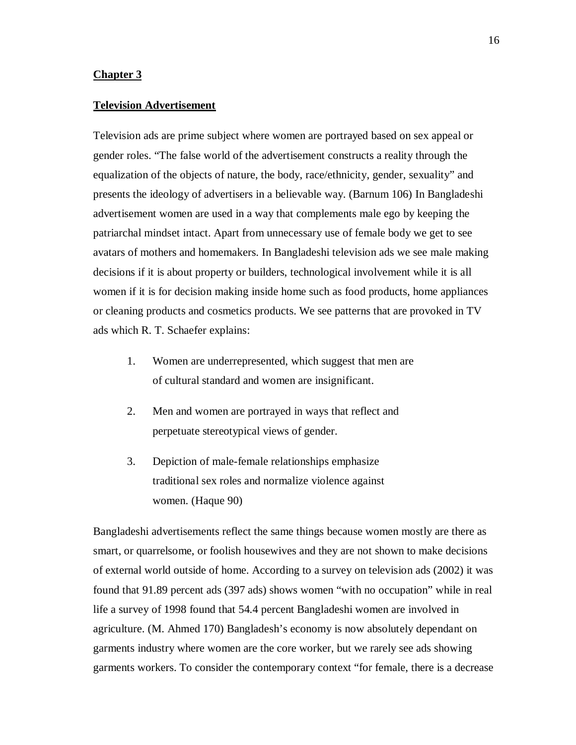#### **Chapter 3**

#### **Television Advertisement**

Television ads are prime subject where women are portrayed based on sex appeal or gender roles. "The false world of the advertisement constructs a reality through the equalization of the objects of nature, the body, race/ethnicity, gender, sexuality" and presents the ideology of advertisers in a believable way. (Barnum 106) In Bangladeshi advertisement women are used in a way that complements male ego by keeping the patriarchal mindset intact. Apart from unnecessary use of female body we get to see avatars of mothers and homemakers. In Bangladeshi television ads we see male making decisions if it is about property or builders, technological involvement while it is all women if it is for decision making inside home such as food products, home appliances or cleaning products and cosmetics products. We see patterns that are provoked in TV ads which R. T. Schaefer explains:

- 1. Women are underrepresented, which suggest that men are of cultural standard and women are insignificant.
- 2. Men and women are portrayed in ways that reflect and perpetuate stereotypical views of gender.
- 3. Depiction of male-female relationships emphasize traditional sex roles and normalize violence against women. (Haque 90)

Bangladeshi advertisements reflect the same things because women mostly are there as smart, or quarrelsome, or foolish housewives and they are not shown to make decisions of external world outside of home. According to a survey on television ads (2002) it was found that 91.89 percent ads (397 ads) shows women "with no occupation" while in real life a survey of 1998 found that 54.4 percent Bangladeshi women are involved in agriculture. (M. Ahmed 170) Bangladesh's economy is now absolutely dependant on garments industry where women are the core worker, but we rarely see ads showing garments workers. To consider the contemporary context "for female, there is a decrease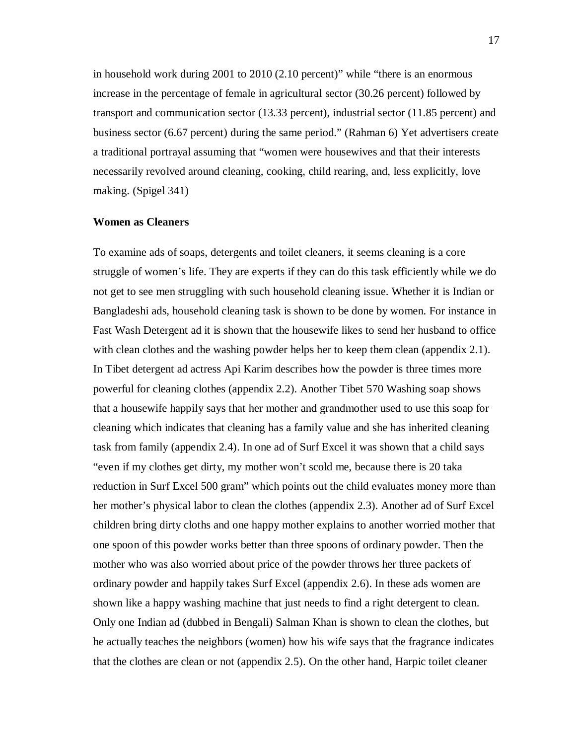in household work during 2001 to 2010 (2.10 percent)" while "there is an enormous increase in the percentage of female in agricultural sector (30.26 percent) followed by transport and communication sector (13.33 percent), industrial sector (11.85 percent) and business sector (6.67 percent) during the same period." (Rahman 6) Yet advertisers create a traditional portrayal assuming that "women were housewives and that their interests necessarily revolved around cleaning, cooking, child rearing, and, less explicitly, love making. (Spigel 341)

#### **Women as Cleaners**

To examine ads of soaps, detergents and toilet cleaners, it seems cleaning is a core struggle of women's life. They are experts if they can do this task efficiently while we do not get to see men struggling with such household cleaning issue. Whether it is Indian or Bangladeshi ads, household cleaning task is shown to be done by women. For instance in Fast Wash Detergent ad it is shown that the housewife likes to send her husband to office with clean clothes and the washing powder helps her to keep them clean (appendix 2.1). In Tibet detergent ad actress Api Karim describes how the powder is three times more powerful for cleaning clothes (appendix 2.2). Another Tibet 570 Washing soap shows that a housewife happily says that her mother and grandmother used to use this soap for cleaning which indicates that cleaning has a family value and she has inherited cleaning task from family (appendix 2.4). In one ad of Surf Excel it was shown that a child says "even if my clothes get dirty, my mother won't scold me, because there is 20 taka reduction in Surf Excel 500 gram" which points out the child evaluates money more than her mother's physical labor to clean the clothes (appendix 2.3). Another ad of Surf Excel children bring dirty cloths and one happy mother explains to another worried mother that one spoon of this powder works better than three spoons of ordinary powder. Then the mother who was also worried about price of the powder throws her three packets of ordinary powder and happily takes Surf Excel (appendix 2.6). In these ads women are shown like a happy washing machine that just needs to find a right detergent to clean. Only one Indian ad (dubbed in Bengali) Salman Khan is shown to clean the clothes, but he actually teaches the neighbors (women) how his wife says that the fragrance indicates that the clothes are clean or not (appendix 2.5). On the other hand, Harpic toilet cleaner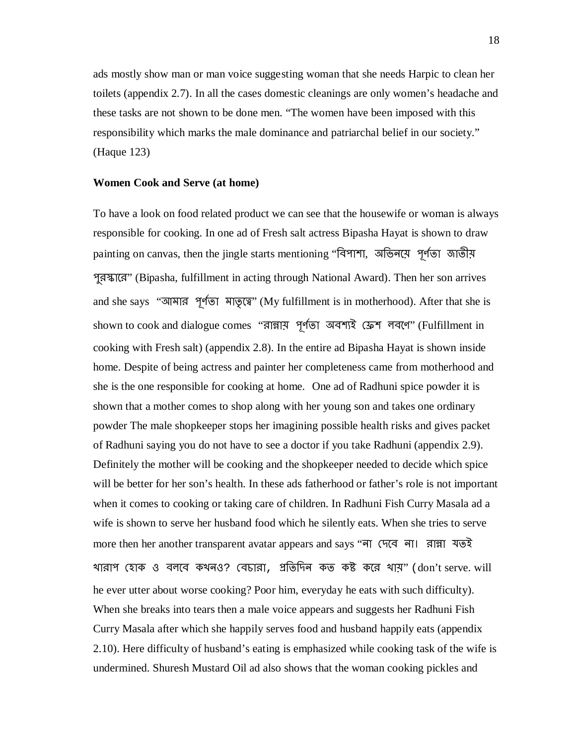ads mostly show man or man voice suggesting woman that she needs Harpic to clean her toilets (appendix 2.7). In all the cases domestic cleanings are only women's headache and these tasks are not shown to be done men. "The women have been imposed with this responsibility which marks the male dominance and patriarchal belief in our society." (Haque 123)

#### **Women Cook and Serve (at home)**

To have a look on food related product we can see that the housewife or woman is always responsible for cooking. In one ad of Fresh salt actress Bipasha Hayat is shown to draw painting on canvas, then the jingle starts mentioning "বিপাশা, অভিনয়ে পূর্ণতা জাতীয় পুর�াের" (Bipasha, fulfillment in acting through National Award). Then her son arrives and she says "আমার পূর্ণতা মাতৃত্বে" (My fulfillment is in motherhood). After that she is shown to cook and dialogue comes "রান্নায় পূর্ণতা অবশ্যই ফ্রেশ লবণে" (Fulfillment in cooking with Fresh salt) (appendix 2.8). In the entire ad Bipasha Hayat is shown inside home. Despite of being actress and painter her completeness came from motherhood and she is the one responsible for cooking at home. One ad of Radhuni spice powder it is shown that a mother comes to shop along with her young son and takes one ordinary powder The male shopkeeper stops her imagining possible health risks and gives packet of Radhuni saying you do not have to see a doctor if you take Radhuni (appendix 2.9). Definitely the mother will be cooking and the shopkeeper needed to decide which spice will be better for her son's health. In these ads fatherhood or father's role is not important when it comes to cooking or taking care of children. In Radhuni Fish Curry Masala ad a wife is shown to serve her husband food which he silently eats. When she tries to serve more then her another transparent avatar appears and says "না েদেব না। রা�া যতই খারাপ েহাক ও বলেব কখনও? েবচারা, �িতিদন কত ক� কের খায়" (don't serve. will he ever utter about worse cooking? Poor him, everyday he eats with such difficulty). When she breaks into tears then a male voice appears and suggests her Radhuni Fish Curry Masala after which she happily serves food and husband happily eats (appendix 2.10). Here difficulty of husband's eating is emphasized while cooking task of the wife is undermined. Shuresh Mustard Oil ad also shows that the woman cooking pickles and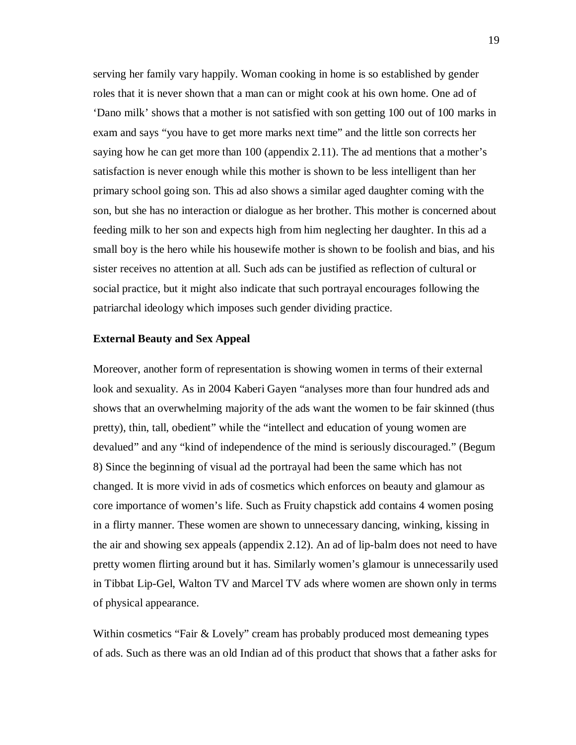serving her family vary happily. Woman cooking in home is so established by gender roles that it is never shown that a man can or might cook at his own home. One ad of 'Dano milk' shows that a mother is not satisfied with son getting 100 out of 100 marks in exam and says "you have to get more marks next time" and the little son corrects her saying how he can get more than 100 (appendix 2.11). The ad mentions that a mother's satisfaction is never enough while this mother is shown to be less intelligent than her primary school going son. This ad also shows a similar aged daughter coming with the son, but she has no interaction or dialogue as her brother. This mother is concerned about feeding milk to her son and expects high from him neglecting her daughter. In this ad a small boy is the hero while his housewife mother is shown to be foolish and bias, and his sister receives no attention at all. Such ads can be justified as reflection of cultural or social practice, but it might also indicate that such portrayal encourages following the patriarchal ideology which imposes such gender dividing practice.

#### **External Beauty and Sex Appeal**

Moreover, another form of representation is showing women in terms of their external look and sexuality. As in 2004 Kaberi Gayen "analyses more than four hundred ads and shows that an overwhelming majority of the ads want the women to be fair skinned (thus pretty), thin, tall, obedient" while the "intellect and education of young women are devalued" and any "kind of independence of the mind is seriously discouraged." (Begum 8) Since the beginning of visual ad the portrayal had been the same which has not changed. It is more vivid in ads of cosmetics which enforces on beauty and glamour as core importance of women's life. Such as Fruity chapstick add contains 4 women posing in a flirty manner. These women are shown to unnecessary dancing, winking, kissing in the air and showing sex appeals (appendix 2.12). An ad of lip-balm does not need to have pretty women flirting around but it has. Similarly women's glamour is unnecessarily used in Tibbat Lip-Gel, Walton TV and Marcel TV ads where women are shown only in terms of physical appearance.

Within cosmetics "Fair & Lovely" cream has probably produced most demeaning types of ads. Such as there was an old Indian ad of this product that shows that a father asks for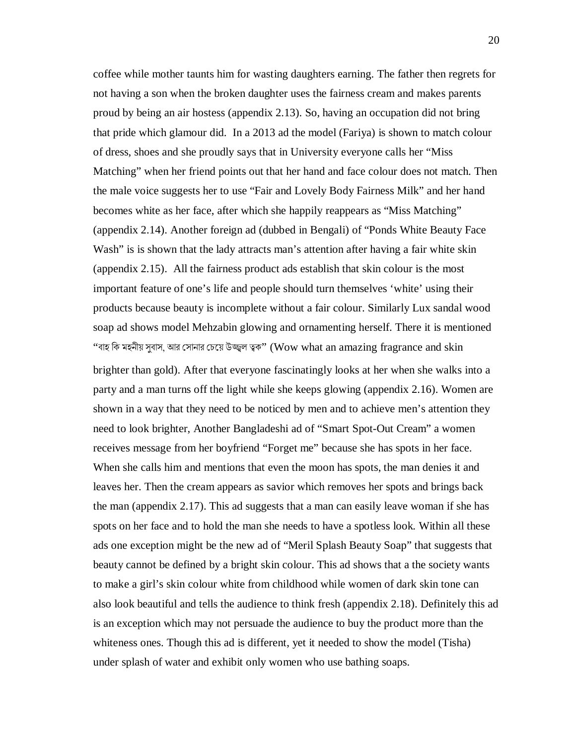coffee while mother taunts him for wasting daughters earning. The father then regrets for not having a son when the broken daughter uses the fairness cream and makes parents proud by being an air hostess (appendix 2.13). So, having an occupation did not bring that pride which glamour did. In a 2013 ad the model (Fariya) is shown to match colour of dress, shoes and she proudly says that in University everyone calls her "Miss Matching" when her friend points out that her hand and face colour does not match. Then the male voice suggests her to use "Fair and Lovely Body Fairness Milk" and her hand becomes white as her face, after which she happily reappears as "Miss Matching" (appendix 2.14). Another foreign ad (dubbed in Bengali) of "Ponds White Beauty Face Wash" is is shown that the lady attracts man's attention after having a fair white skin (appendix 2.15). All the fairness product ads establish that skin colour is the most important feature of one's life and people should turn themselves 'white' using their products because beauty is incomplete without a fair colour. Similarly Lux sandal wood soap ad shows model Mehzabin glowing and ornamenting herself. There it is mentioned "বাহ কি মহনীয় সুবাস, আর সোনার চেয়ে উজ্জ্বল ত্বক" (Wow what an amazing fragrance and s $\rm kin$ 

brighter than gold). After that everyone fascinatingly looks at her when she walks into a party and a man turns off the light while she keeps glowing (appendix 2.16). Women are shown in a way that they need to be noticed by men and to achieve men's attention they need to look brighter, Another Bangladeshi ad of "Smart Spot-Out Cream" a women receives message from her boyfriend "Forget me" because she has spots in her face. When she calls him and mentions that even the moon has spots, the man denies it and leaves her. Then the cream appears as savior which removes her spots and brings back the man (appendix 2.17). This ad suggests that a man can easily leave woman if she has spots on her face and to hold the man she needs to have a spotless look. Within all these ads one exception might be the new ad of "Meril Splash Beauty Soap" that suggests that beauty cannot be defined by a bright skin colour. This ad shows that a the society wants to make a girl's skin colour white from childhood while women of dark skin tone can also look beautiful and tells the audience to think fresh (appendix 2.18). Definitely this ad is an exception which may not persuade the audience to buy the product more than the whiteness ones. Though this ad is different, yet it needed to show the model (Tisha) under splash of water and exhibit only women who use bathing soaps.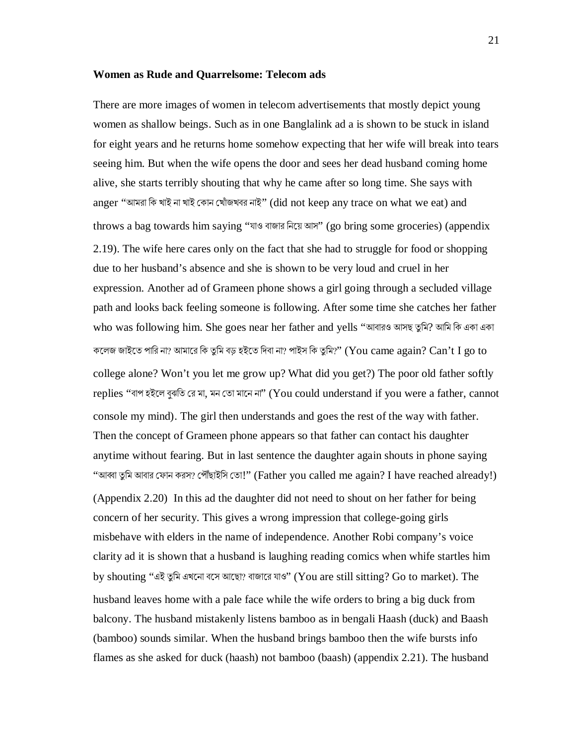#### **Women as Rude and Quarrelsome: Telecom ads**

There are more images of women in telecom advertisements that mostly depict young women as shallow beings. Such as in one Banglalink ad a is shown to be stuck in island for eight years and he returns home somehow expecting that her wife will break into tears seeing him. But when the wife opens the door and sees her dead husband coming home alive, she starts terribly shouting that why he came after so long time. She says with anger "আমরা কি খাই না খাই কোন খোঁজখবর নাই" (did not keep any trace on what we eat) and throws a bag towards him saying "যাও বাজার িনেয় আস" (go bring some groceries) (appendix 2.19). The wife here cares only on the fact that she had to struggle for food or shopping due to her husband's absence and she is shown to be very loud and cruel in her expression. Another ad of Grameen phone shows a girl going through a secluded village path and looks back feeling someone is following. After some time she catches her father who was following him. She goes near her father and yells "আবারও আসছ তুমি? আমি কি একা একা কলেজ জাইতে পারি না? আমারে কি তুমি বড় হইতে দিবা না? পাইস কি তুমি?'' (You came again?  $\operatorname{Can}$ 't  $\operatorname{I}$  go to college alone? Won't you let me grow up? What did you get?) The poor old father softly replies "বাপ হইলে বুঝতি রে মা, মন তো মানে না" (You could understand if you were a father, cannot console my mind). The girl then understands and goes the rest of the way with father. Then the concept of Grameen phone appears so that father can contact his daughter anytime without fearing. But in last sentence the daughter again shouts in phone saying "আব্বা তুমি আবার ফোন করস? পৌঁছাইসি তো!" (Father you called me again? I have reached already!) (Appendix 2.20) In this ad the daughter did not need to shout on her father for being concern of her security. This gives a wrong impression that college-going girls misbehave with elders in the name of independence. Another Robi company's voice clarity ad it is shown that a husband is laughing reading comics when whife startles him by shouting "এই তুমি এখনো বসে আছো? বাজারে যাও" (You are still sitting? Go to market). The husband leaves home with a pale face while the wife orders to bring a big duck from balcony. The husband mistakenly listens bamboo as in bengali Haash (duck) and Baash (bamboo) sounds similar. When the husband brings bamboo then the wife bursts info flames as she asked for duck (haash) not bamboo (baash) (appendix 2.21). The husband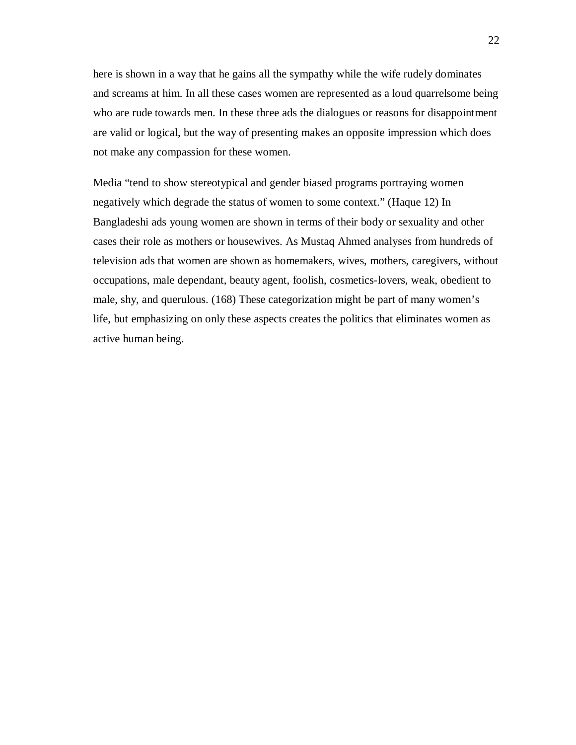here is shown in a way that he gains all the sympathy while the wife rudely dominates and screams at him. In all these cases women are represented as a loud quarrelsome being who are rude towards men. In these three ads the dialogues or reasons for disappointment are valid or logical, but the way of presenting makes an opposite impression which does not make any compassion for these women.

Media "tend to show stereotypical and gender biased programs portraying women negatively which degrade the status of women to some context." (Haque 12) In Bangladeshi ads young women are shown in terms of their body or sexuality and other cases their role as mothers or housewives. As Mustaq Ahmed analyses from hundreds of television ads that women are shown as homemakers, wives, mothers, caregivers, without occupations, male dependant, beauty agent, foolish, cosmetics-lovers, weak, obedient to male, shy, and querulous. (168) These categorization might be part of many women's life, but emphasizing on only these aspects creates the politics that eliminates women as active human being.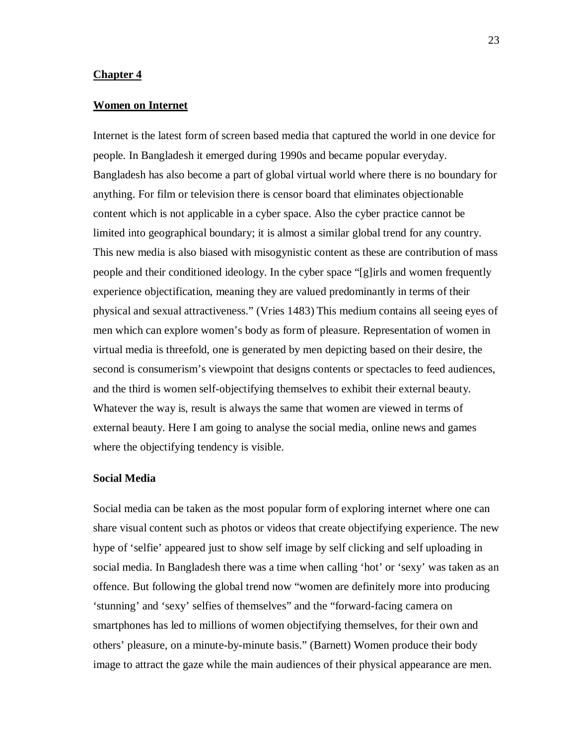#### **Chapter 4**

#### **Women on Internet**

Internet is the latest form of screen based media that captured the world in one device for people. In Bangladesh it emerged during 1990s and became popular everyday. Bangladesh has also become a part of global virtual world where there is no boundary for anything. For film or television there is censor board that eliminates objectionable content which is not applicable in a cyber space. Also the cyber practice cannot be limited into geographical boundary; it is almost a similar global trend for any country. This new media is also biased with misogynistic content as these are contribution of mass people and their conditioned ideology. In the cyber space "[g]irls and women frequently experience objectification, meaning they are valued predominantly in terms of their physical and sexual attractiveness." (Vries 1483) This medium contains all seeing eyes of men which can explore women's body as form of pleasure. Representation of women in virtual media is threefold, one is generated by men depicting based on their desire, the second is consumerism's viewpoint that designs contents or spectacles to feed audiences, and the third is women self-objectifying themselves to exhibit their external beauty. Whatever the way is, result is always the same that women are viewed in terms of external beauty. Here I am going to analyse the social media, online news and games where the objectifying tendency is visible.

#### **Social Media**

Social media can be taken as the most popular form of exploring internet where one can share visual content such as photos or videos that create objectifying experience. The new hype of 'selfie' appeared just to show self image by self clicking and self uploading in social media. In Bangladesh there was a time when calling 'hot' or 'sexy' was taken as an offence. But following the global trend now "women are definitely more into producing 'stunning' and 'sexy' selfies of themselves" and the "forward-facing camera on smartphones has led to millions of women objectifying themselves, for their own and others' pleasure, on a minute-by-minute basis." (Barnett) Women produce their body image to attract the gaze while the main audiences of their physical appearance are men.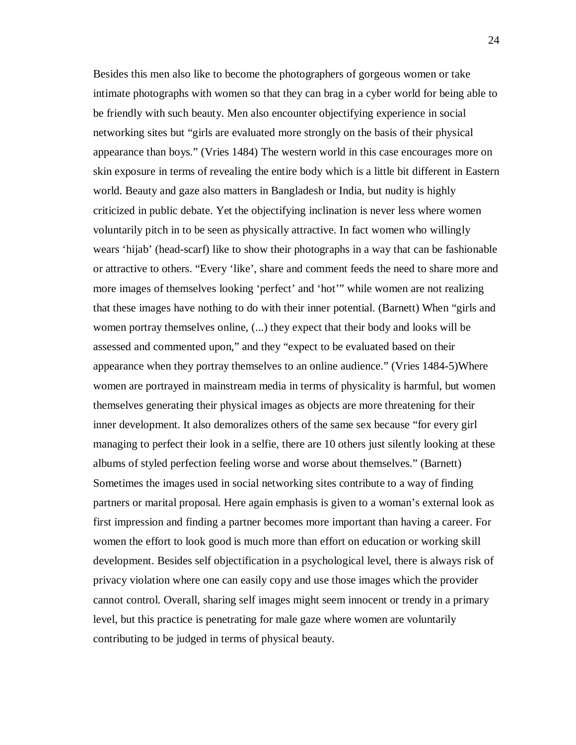Besides this men also like to become the photographers of gorgeous women or take intimate photographs with women so that they can brag in a cyber world for being able to be friendly with such beauty. Men also encounter objectifying experience in social networking sites but "girls are evaluated more strongly on the basis of their physical appearance than boys." (Vries 1484) The western world in this case encourages more on skin exposure in terms of revealing the entire body which is a little bit different in Eastern world. Beauty and gaze also matters in Bangladesh or India, but nudity is highly criticized in public debate. Yet the objectifying inclination is never less where women voluntarily pitch in to be seen as physically attractive. In fact women who willingly wears 'hijab' (head-scarf) like to show their photographs in a way that can be fashionable or attractive to others. "Every 'like', share and comment feeds the need to share more and more images of themselves looking 'perfect' and 'hot'" while women are not realizing that these images have nothing to do with their inner potential. (Barnett) When "girls and women portray themselves online, (...) they expect that their body and looks will be assessed and commented upon," and they "expect to be evaluated based on their appearance when they portray themselves to an online audience." (Vries 1484-5)Where women are portrayed in mainstream media in terms of physicality is harmful, but women themselves generating their physical images as objects are more threatening for their inner development. It also demoralizes others of the same sex because "for every girl managing to perfect their look in a selfie, there are 10 others just silently looking at these albums of styled perfection feeling worse and worse about themselves." (Barnett) Sometimes the images used in social networking sites contribute to a way of finding partners or marital proposal. Here again emphasis is given to a woman's external look as first impression and finding a partner becomes more important than having a career. For women the effort to look good is much more than effort on education or working skill development. Besides self objectification in a psychological level, there is always risk of privacy violation where one can easily copy and use those images which the provider cannot control. Overall, sharing self images might seem innocent or trendy in a primary level, but this practice is penetrating for male gaze where women are voluntarily contributing to be judged in terms of physical beauty.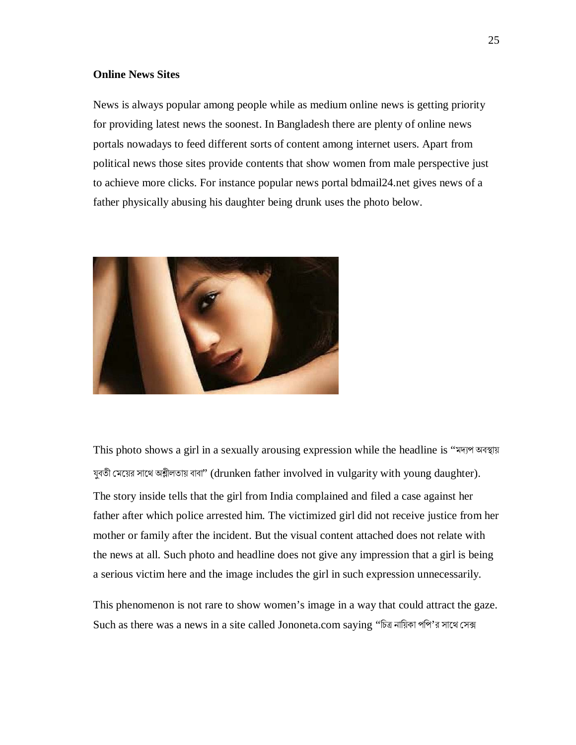#### **Online News Sites**

News is always popular among people while as medium online news is getting priority for providing latest news the soonest. In Bangladesh there are plenty of online news portals nowadays to feed different sorts of content among internet users. Apart from political news those sites provide contents that show women from male perspective just to achieve more clicks. For instance popular news portal bdmail24.net gives news of a father physically abusing his daughter being drunk uses the photo below.



This photo shows a girl in a sexually arousing expression while the headline is "মদ্যপ অবস্থায় যুবতী মেয়ের সাথে অশ্লীলতায় বাবা" (drunken father involved in vulgarity with young daughter). The story inside tells that the girl from India complained and filed a case against her father after which police arrested him. The victimized girl did not receive justice from her mother or family after the incident. But the visual content attached does not relate with the news at all. Such photo and headline does not give any impression that a girl is being a serious victim here and the image includes the girl in such expression unnecessarily.

This phenomenon is not rare to show women's image in a way that could attract the gaze. Such as there was a news in a site called Jononeta.com saying "চিত্র নায়িকা পপি'র সাথে সেক্স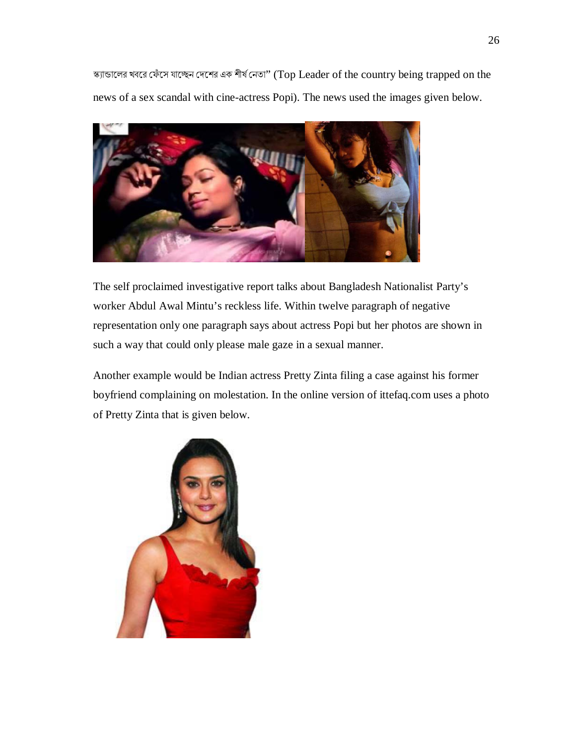স্ক্যান্ডালের খবরে ফেঁসে যাচ্ছেন দেশের এক শীর্ষ নেতা" (Top Leader of the country being trapped on the news of a sex scandal with cine-actress Popi). The news used the images given below.



The self proclaimed investigative report talks about Bangladesh Nationalist Party's worker Abdul Awal Mintu's reckless life. Within twelve paragraph of negative representation only one paragraph says about actress Popi but her photos are shown in such a way that could only please male gaze in a sexual manner.

Another example would be Indian actress Pretty Zinta filing a case against his former boyfriend complaining on molestation. In the online version of ittefaq.com uses a photo of Pretty Zinta that is given below.

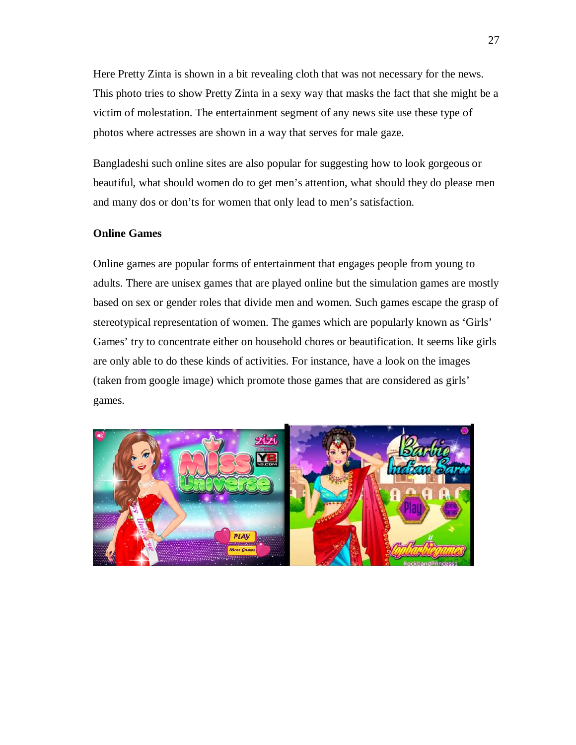Here Pretty Zinta is shown in a bit revealing cloth that was not necessary for the news. This photo tries to show Pretty Zinta in a sexy way that masks the fact that she might be a victim of molestation. The entertainment segment of any news site use these type of photos where actresses are shown in a way that serves for male gaze.

Bangladeshi such online sites are also popular for suggesting how to look gorgeous or beautiful, what should women do to get men's attention, what should they do please men and many dos or don'ts for women that only lead to men's satisfaction.

#### **Online Games**

Online games are popular forms of entertainment that engages people from young to adults. There are unisex games that are played online but the simulation games are mostly based on sex or gender roles that divide men and women. Such games escape the grasp of stereotypical representation of women. The games which are popularly known as 'Girls' Games' try to concentrate either on household chores or beautification. It seems like girls are only able to do these kinds of activities. For instance, have a look on the images (taken from google image) which promote those games that are considered as girls' games.

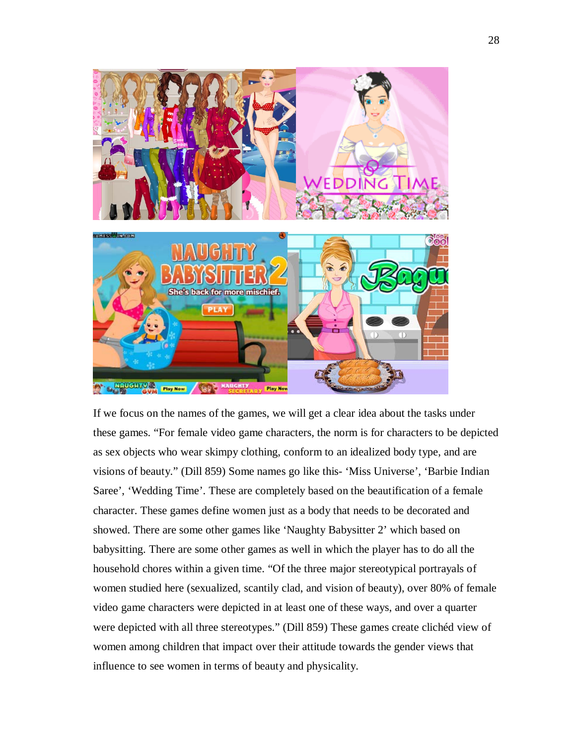

If we focus on the names of the games, we will get a clear idea about the tasks under these games. "For female video game characters, the norm is for characters to be depicted as sex objects who wear skimpy clothing, conform to an idealized body type, and are visions of beauty." (Dill 859) Some names go like this- 'Miss Universe', 'Barbie Indian Saree', 'Wedding Time'. These are completely based on the beautification of a female character. These games define women just as a body that needs to be decorated and showed. There are some other games like 'Naughty Babysitter 2' which based on babysitting. There are some other games as well in which the player has to do all the household chores within a given time. "Of the three major stereotypical portrayals of women studied here (sexualized, scantily clad, and vision of beauty), over 80% of female video game characters were depicted in at least one of these ways, and over a quarter were depicted with all three stereotypes." (Dill 859) These games create clichéd view of women among children that impact over their attitude towards the gender views that influence to see women in terms of beauty and physicality.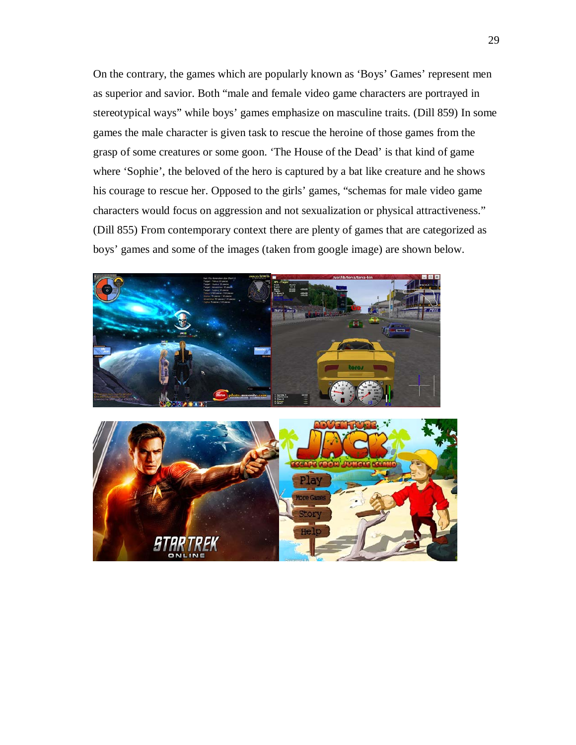On the contrary, the games which are popularly known as 'Boys' Games' represent men as superior and savior. Both "male and female video game characters are portrayed in stereotypical ways" while boys' games emphasize on masculine traits. (Dill 859) In some games the male character is given task to rescue the heroine of those games from the grasp of some creatures or some goon. 'The House of the Dead' is that kind of game where 'Sophie', the beloved of the hero is captured by a bat like creature and he shows his courage to rescue her. Opposed to the girls' games, "schemas for male video game characters would focus on aggression and not sexualization or physical attractiveness." (Dill 855) From contemporary context there are plenty of games that are categorized as boys' games and some of the images (taken from google image) are shown below.

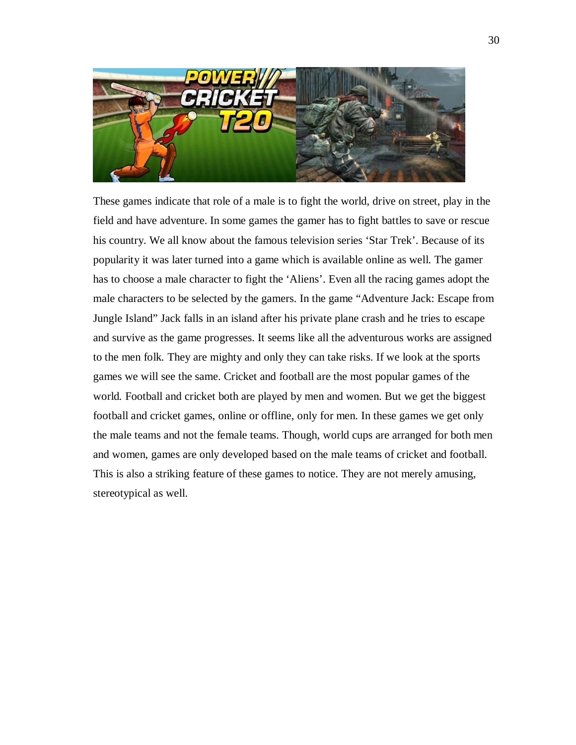

These games indicate that role of a male is to fight the world, drive on street, play in the field and have adventure. In some games the gamer has to fight battles to save or rescue his country. We all know about the famous television series 'Star Trek'. Because of its popularity it was later turned into a game which is available online as well. The gamer has to choose a male character to fight the 'Aliens'. Even all the racing games adopt the male characters to be selected by the gamers. In the game "Adventure Jack: Escape from Jungle Island" Jack falls in an island after his private plane crash and he tries to escape and survive as the game progresses. It seems like all the adventurous works are assigned to the men folk. They are mighty and only they can take risks. If we look at the sports games we will see the same. Cricket and football are the most popular games of the world. Football and cricket both are played by men and women. But we get the biggest football and cricket games, online or offline, only for men. In these games we get only the male teams and not the female teams. Though, world cups are arranged for both men and women, games are only developed based on the male teams of cricket and football. This is also a striking feature of these games to notice. They are not merely amusing, stereotypical as well.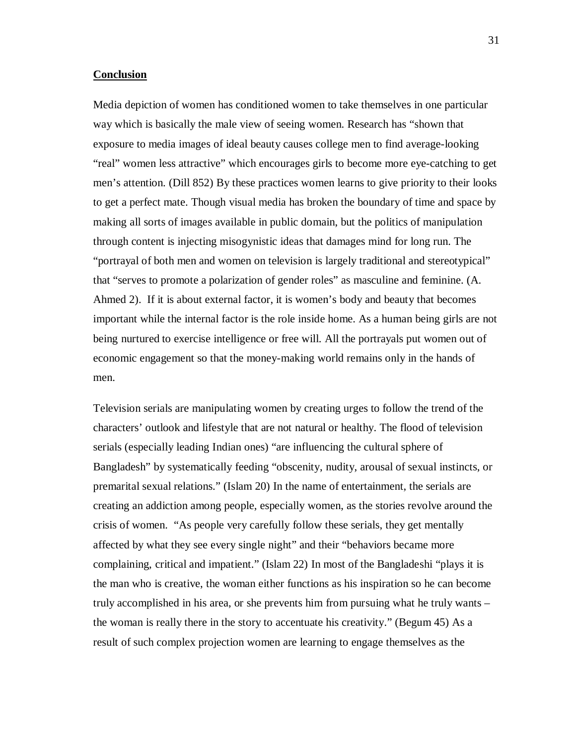#### **Conclusion**

Media depiction of women has conditioned women to take themselves in one particular way which is basically the male view of seeing women. Research has "shown that exposure to media images of ideal beauty causes college men to find average-looking "real" women less attractive" which encourages girls to become more eye-catching to get men's attention. (Dill 852) By these practices women learns to give priority to their looks to get a perfect mate. Though visual media has broken the boundary of time and space by making all sorts of images available in public domain, but the politics of manipulation through content is injecting misogynistic ideas that damages mind for long run. The "portrayal of both men and women on television is largely traditional and stereotypical" that "serves to promote a polarization of gender roles" as masculine and feminine. (A. Ahmed 2). If it is about external factor, it is women's body and beauty that becomes important while the internal factor is the role inside home. As a human being girls are not being nurtured to exercise intelligence or free will. All the portrayals put women out of economic engagement so that the money-making world remains only in the hands of men.

Television serials are manipulating women by creating urges to follow the trend of the characters' outlook and lifestyle that are not natural or healthy. The flood of television serials (especially leading Indian ones) "are influencing the cultural sphere of Bangladesh" by systematically feeding "obscenity, nudity, arousal of sexual instincts, or premarital sexual relations." (Islam 20) In the name of entertainment, the serials are creating an addiction among people, especially women, as the stories revolve around the crisis of women. "As people very carefully follow these serials, they get mentally affected by what they see every single night" and their "behaviors became more complaining, critical and impatient." (Islam 22) In most of the Bangladeshi "plays it is the man who is creative, the woman either functions as his inspiration so he can become truly accomplished in his area, or she prevents him from pursuing what he truly wants – the woman is really there in the story to accentuate his creativity." (Begum 45) As a result of such complex projection women are learning to engage themselves as the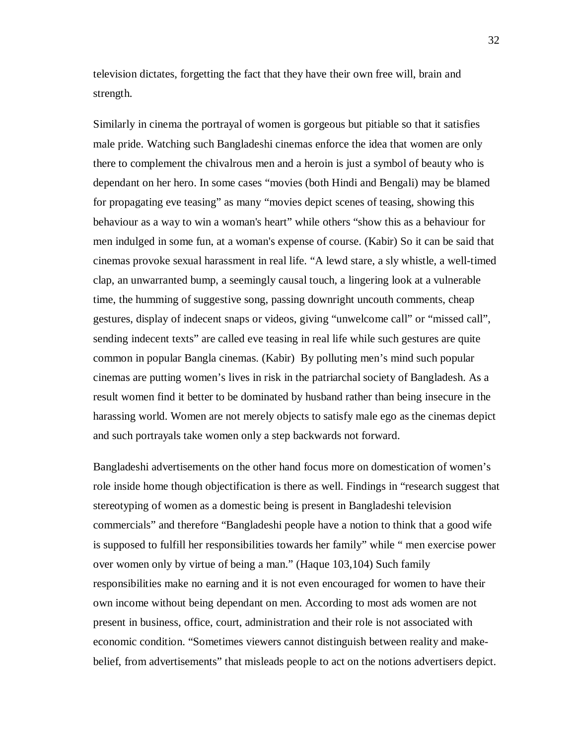television dictates, forgetting the fact that they have their own free will, brain and strength.

Similarly in cinema the portrayal of women is gorgeous but pitiable so that it satisfies male pride. Watching such Bangladeshi cinemas enforce the idea that women are only there to complement the chivalrous men and a heroin is just a symbol of beauty who is dependant on her hero. In some cases "movies (both Hindi and Bengali) may be blamed for propagating eve teasing" as many "movies depict scenes of teasing, showing this behaviour as a way to win a woman's heart" while others "show this as a behaviour for men indulged in some fun, at a woman's expense of course. (Kabir) So it can be said that cinemas provoke sexual harassment in real life. "A lewd stare, a sly whistle, a well-timed clap, an unwarranted bump, a seemingly causal touch, a lingering look at a vulnerable time, the humming of suggestive song, passing downright uncouth comments, cheap gestures, display of indecent snaps or videos, giving "unwelcome call" or "missed call", sending indecent texts" are called eve teasing in real life while such gestures are quite common in popular Bangla cinemas. (Kabir) By polluting men's mind such popular cinemas are putting women's lives in risk in the patriarchal society of Bangladesh. As a result women find it better to be dominated by husband rather than being insecure in the harassing world. Women are not merely objects to satisfy male ego as the cinemas depict and such portrayals take women only a step backwards not forward.

Bangladeshi advertisements on the other hand focus more on domestication of women's role inside home though objectification is there as well. Findings in "research suggest that stereotyping of women as a domestic being is present in Bangladeshi television commercials" and therefore "Bangladeshi people have a notion to think that a good wife is supposed to fulfill her responsibilities towards her family" while " men exercise power over women only by virtue of being a man." (Haque 103,104) Such family responsibilities make no earning and it is not even encouraged for women to have their own income without being dependant on men. According to most ads women are not present in business, office, court, administration and their role is not associated with economic condition. "Sometimes viewers cannot distinguish between reality and makebelief, from advertisements" that misleads people to act on the notions advertisers depict.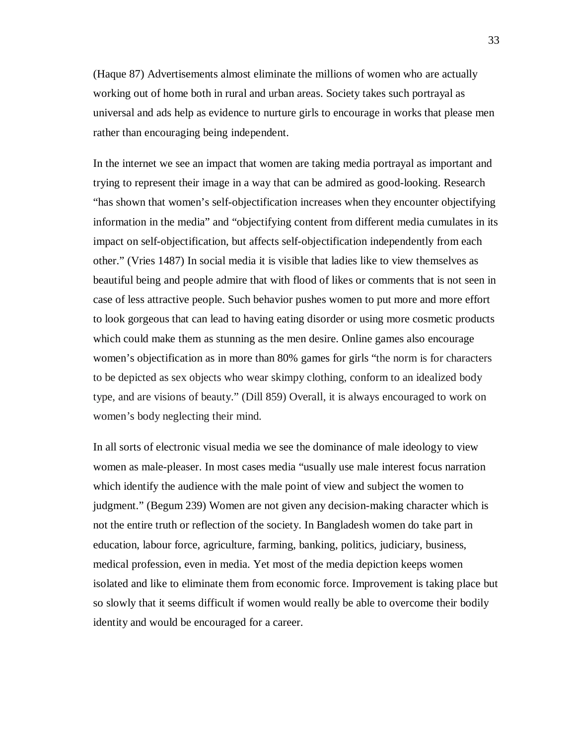(Haque 87) Advertisements almost eliminate the millions of women who are actually working out of home both in rural and urban areas. Society takes such portrayal as universal and ads help as evidence to nurture girls to encourage in works that please men rather than encouraging being independent.

In the internet we see an impact that women are taking media portrayal as important and trying to represent their image in a way that can be admired as good-looking. Research "has shown that women's self-objectification increases when they encounter objectifying information in the media" and "objectifying content from different media cumulates in its impact on self-objectification, but affects self-objectification independently from each other." (Vries 1487) In social media it is visible that ladies like to view themselves as beautiful being and people admire that with flood of likes or comments that is not seen in case of less attractive people. Such behavior pushes women to put more and more effort to look gorgeous that can lead to having eating disorder or using more cosmetic products which could make them as stunning as the men desire. Online games also encourage women's objectification as in more than 80% games for girls "the norm is for characters to be depicted as sex objects who wear skimpy clothing, conform to an idealized body type, and are visions of beauty." (Dill 859) Overall, it is always encouraged to work on women's body neglecting their mind.

In all sorts of electronic visual media we see the dominance of male ideology to view women as male-pleaser. In most cases media "usually use male interest focus narration which identify the audience with the male point of view and subject the women to judgment." (Begum 239) Women are not given any decision-making character which is not the entire truth or reflection of the society. In Bangladesh women do take part in education, labour force, agriculture, farming, banking, politics, judiciary, business, medical profession, even in media. Yet most of the media depiction keeps women isolated and like to eliminate them from economic force. Improvement is taking place but so slowly that it seems difficult if women would really be able to overcome their bodily identity and would be encouraged for a career.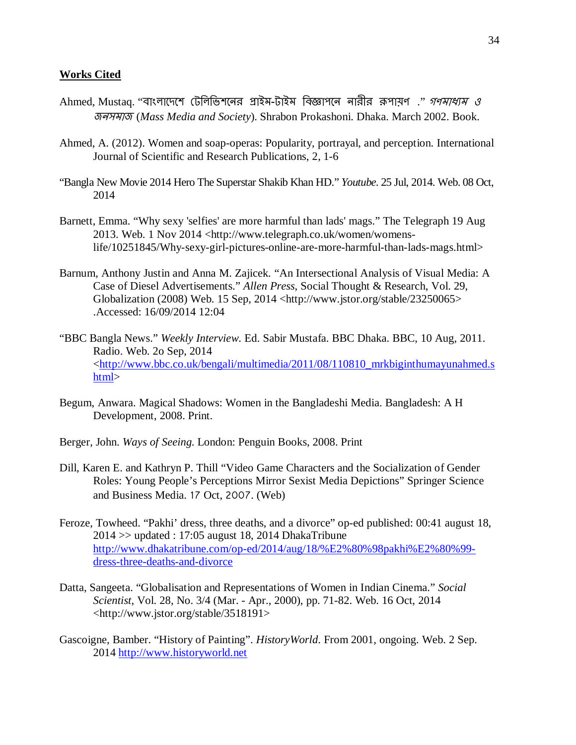#### **Works Cited**

- Ahmed, Mustag. ''বাংলাদেশে টেলিভিশনের প্রাইম-টাইম বিজ্ঞাপনে নারীর রূপায়ণ .'' *গণমাধ্যম ও* জনসমাজ (*Mass Media and Society*). Shrabon Prokashoni. Dhaka. March 2002. Book.
- Ahmed, A. (2012). Women and soap-operas: Popularity, portrayal, and perception. International Journal of Scientific and Research Publications, 2, 1-6
- "Bangla New Movie 2014 Hero The Superstar Shakib Khan HD." *Youtube*. 25 Jul, 2014. Web. 08 Oct, 2014
- Barnett, Emma. "Why sexy 'selfies' are more harmful than lads' mags." The Telegraph 19 Aug 2013. Web. 1 Nov 2014 <http://www.telegraph.co.uk/women/womenslife/10251845/Why-sexy-girl-pictures-online-are-more-harmful-than-lads-mags.html>
- Barnum, Anthony Justin and Anna M. Zajicek. "An Intersectional Analysis of Visual Media: A Case of Diesel Advertisements." *Allen Press*, Social Thought & Research, Vol. 29, Globalization (2008) Web. 15 Sep, 2014 <http://www.jstor.org/stable/23250065> .Accessed: 16/09/2014 12:04
- "BBC Bangla News." *Weekly Interview*. Ed. Sabir Mustafa. BBC Dhaka. BBC, 10 Aug, 2011. Radio. Web. 2o Sep, 2014 [<http://www.bbc.co.uk/bengali/multimedia/2011/08/110810\\_mrkbiginthumayunahmed.s](http://www.bbc.co.uk/bengali/multimedia/2011/08/110810_mrkbiginthumayunahmed.shtml) [html>](http://www.bbc.co.uk/bengali/multimedia/2011/08/110810_mrkbiginthumayunahmed.shtml)
- Begum, Anwara. Magical Shadows: Women in the Bangladeshi Media. Bangladesh: A H Development, 2008. Print.
- Berger, John. *Ways of Seeing*. London: Penguin Books, 2008. Print
- Dill, Karen E. and Kathryn P. Thill "Video Game Characters and the Socialization of Gender Roles: Young People's Perceptions Mirror Sexist Media Depictions" Springer Science and Business Media. 17 Oct, 2007. (Web)
- Feroze, Towheed. "Pakhi' dress, three deaths, and a divorce" op-ed published: 00:41 august 18,  $2014 \gg$  updated : 17:05 august 18, 2014 DhakaTribune [http://www.dhakatribune.com/op-ed/2014/aug/18/%E2%80%98pakhi%E2%80%99](http://www.dhakatribune.com/op-ed/2014/aug/18/%E2%80%98pakhi%E2%80%99-dress-three-deaths-and-divorce) [dress-three-deaths-and-divorce](http://www.dhakatribune.com/op-ed/2014/aug/18/%E2%80%98pakhi%E2%80%99-dress-three-deaths-and-divorce)
- Datta, Sangeeta. "Globalisation and Representations of Women in Indian Cinema." *Social Scientist*, Vol. 28, No. 3/4 (Mar. - Apr., 2000), pp. 71-82. Web. 16 Oct, 2014 <http://www.jstor.org/stable/3518191>
- Gascoigne, Bamber. "History of Painting". *HistoryWorld*. From 2001, ongoing. Web. 2 Sep. 2014 [http://www.historyworld.net](http://www.historyworld.net/)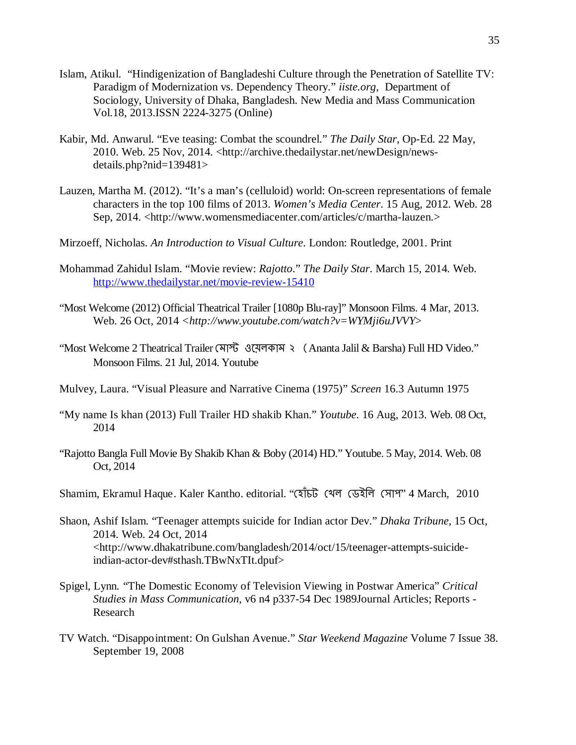- Islam, Atikul. "Hindigenization of Bangladeshi Culture through the Penetration of Satellite TV: Paradigm of Modernization vs. Dependency Theory." *iiste.org*, Department of Sociology, University of Dhaka, Bangladesh. New Media and Mass Communication Vol.18, 2013.ISSN 2224-3275 (Online)
- Kabir, Md. Anwarul. "Eve teasing: Combat the scoundrel." *The Daily Star*, Op-Ed. 22 May, 2010. Web. 25 Nov, 2014. <http://archive.thedailystar.net/newDesign/newsdetails.php?nid=139481>
- Lauzen, Martha M. (2012). "It's a man's (celluloid) world: On-screen representations of female characters in the top 100 films of 2013. *Women's Media Center*. 15 Aug, 2012. Web. 28 Sep, 2014. <http://www.womensmediacenter.com/articles/c/martha-lauzen.>
- Mirzoeff, Nicholas. *An Introduction to Visual Culture*. London: Routledge, 2001. Print
- Mohammad Zahidul Islam. "Movie review: *Rajotto*." *The Daily Star*. March 15, 2014. Web. <http://www.thedailystar.net/movie-review-15410>
- "Most Welcome (2012) Official Theatrical Trailer [1080p Blu-ray]" Monsoon Films. 4 Mar, 2013. Web. 26 Oct, 2014 *<http://www.youtube.com/watch?v=WYMji6uJVVY*>
- "Most Welcome 2 Theatrical Trailer মোপ্ট ওয়েলকাম ২ (Ananta Jalil & Barsha) Full HD Video." Monsoon Films. 21 Jul, 2014. Youtube
- Mulvey, Laura. "Visual Pleasure and Narrative Cinema (1975)" *Screen* 16.3 Autumn 1975
- "My name Is khan (2013) Full Trailer HD shakib Khan." *Youtube*. 16 Aug, 2013. Web. 08 Oct, 2014
- "Rajotto Bangla Full Movie By Shakib Khan & Boby (2014) HD." Youtube. 5 May, 2014. Web. 08 Oct, 2014
- Shamim, Ekramul Haque. Kaler Kantho. editorial. "েহাঁচট েখল েডইিল েসাপ" 4 March, 2010
- Shaon, Ashif Islam. "Teenager attempts suicide for Indian actor Dev." *Dhaka Tribune*, 15 Oct, 2014. Web. 24 Oct, 2014 <http://www.dhakatribune.com/bangladesh/2014/oct/15/teenager-attempts-suicideindian-actor-dev#sthash.TBwNxTIt.dpuf>
- Spigel, Lynn. "The Domestic Economy of Television Viewing in Postwar America" *Critical Studies in Mass Communication*, v6 n4 p337-54 Dec 1989Journal Articles; Reports - Research
- TV Watch. "Disappointment: On Gulshan Avenue." *Star Weekend Magazine* Volume 7 Issue 38. September 19, 2008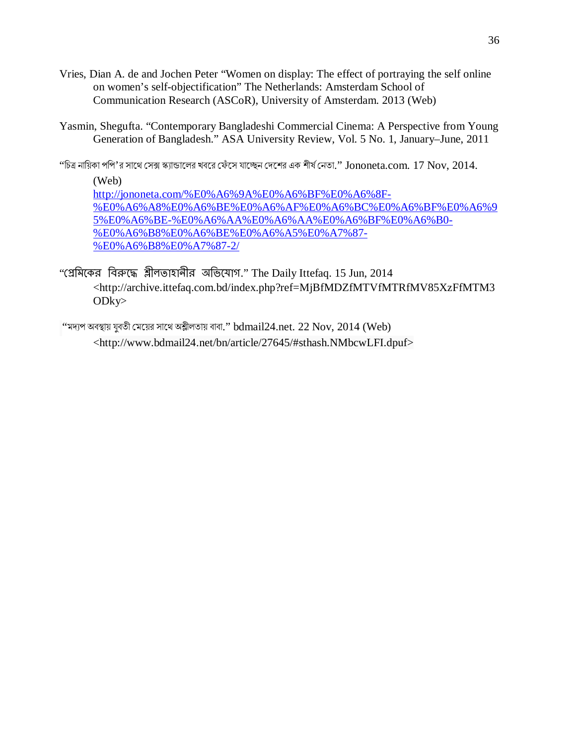- Vries, Dian A. de and Jochen Peter "Women on display: The effect of portraying the self online on women's self-objectification" The Netherlands: Amsterdam School of Communication Research (ASCoR), University of Amsterdam. 2013 (Web)
- Yasmin, Shegufta. "Contemporary Bangladeshi Commercial Cinema: A Perspective from Young Generation of Bangladesh." ASA University Review, Vol. 5 No. 1, January–June, 2011

"চিত্র নায়িকা পপি'র সাথে সেক্স স্ক্যান্ডালের খবরে ফেঁসে যাচ্ছেন দেশের এক শীর্ষ নেতা."  $\,$  Jononeta.com.  $\,17\,\, \mathrm{Nov}, \,2014.$ 

(Web) [http://jononeta.com/%E0%A6%9A%E0%A6%BF%E0%A6%8F-](http://jononeta.com/%E0%A6%9A%E0%A6%BF%E0%A6%8F-%E0%A6%A8%E0%A6%BE%E0%A6%AF%E0%A6%BC%E0%A6%BF%E0%A6%95%E0%A6%BE-%E0%A6%AA%E0%A6%AA%E0%A6%BF%E0%A6%B0-%E0%A6%B8%E0%A6%BE%E0%A6%A5%E0%A7%87-%E0%A6%B8%E0%A7%87-2/) [%E0%A6%A8%E0%A6%BE%E0%A6%AF%E0%A6%BC%E0%A6%BF%E0%A6%9](http://jononeta.com/%E0%A6%9A%E0%A6%BF%E0%A6%8F-%E0%A6%A8%E0%A6%BE%E0%A6%AF%E0%A6%BC%E0%A6%BF%E0%A6%95%E0%A6%BE-%E0%A6%AA%E0%A6%AA%E0%A6%BF%E0%A6%B0-%E0%A6%B8%E0%A6%BE%E0%A6%A5%E0%A7%87-%E0%A6%B8%E0%A7%87-2/) [5%E0%A6%BE-%E0%A6%AA%E0%A6%AA%E0%A6%BF%E0%A6%B0-](http://jononeta.com/%E0%A6%9A%E0%A6%BF%E0%A6%8F-%E0%A6%A8%E0%A6%BE%E0%A6%AF%E0%A6%BC%E0%A6%BF%E0%A6%95%E0%A6%BE-%E0%A6%AA%E0%A6%AA%E0%A6%BF%E0%A6%B0-%E0%A6%B8%E0%A6%BE%E0%A6%A5%E0%A7%87-%E0%A6%B8%E0%A7%87-2/) [%E0%A6%B8%E0%A6%BE%E0%A6%A5%E0%A7%87-](http://jononeta.com/%E0%A6%9A%E0%A6%BF%E0%A6%8F-%E0%A6%A8%E0%A6%BE%E0%A6%AF%E0%A6%BC%E0%A6%BF%E0%A6%95%E0%A6%BE-%E0%A6%AA%E0%A6%AA%E0%A6%BF%E0%A6%B0-%E0%A6%B8%E0%A6%BE%E0%A6%A5%E0%A7%87-%E0%A6%B8%E0%A7%87-2/) [%E0%A6%B8%E0%A7%87-2/](http://jononeta.com/%E0%A6%9A%E0%A6%BF%E0%A6%8F-%E0%A6%A8%E0%A6%BE%E0%A6%AF%E0%A6%BC%E0%A6%BF%E0%A6%95%E0%A6%BE-%E0%A6%AA%E0%A6%AA%E0%A6%BF%E0%A6%B0-%E0%A6%B8%E0%A6%BE%E0%A6%A5%E0%A7%87-%E0%A6%B8%E0%A7%87-2/)

"প্রেমিকের বিরুদ্ধে শ্লীলতাহানীর অভিযোগ." The Daily Ittefaq. 15 Jun, 2014 <http://archive.ittefaq.com.bd/index.php?ref=MjBfMDZfMTVfMTRfMV85XzFfMTM3 ODky>

"মদ্যপ অবস্থায় যুবতী মেয়ের সাথে অশ্লীলতায় বাবা."  ${\rm bdmail}24{\rm .}$ net.  $22$   ${\rm Nov}, 2014$  ( ${\rm Web}$ ) <http://www.bdmail24.net/bn/article/27645/#sthash.NMbcwLFI.dpuf>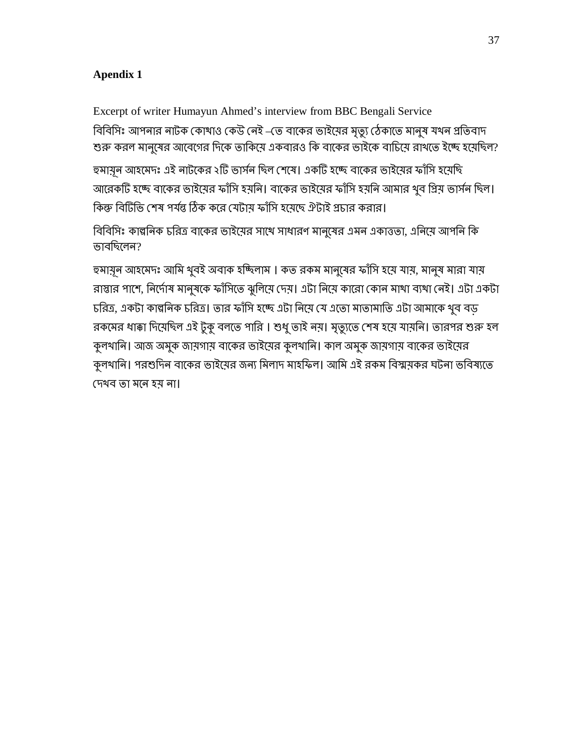## **Apendix 1**

Excerpt of writer Humayun Ahmed's interview from BBC Bengali Service বিবিসিঃ আপনার নাটক কোথাও কেউ নেই –তে বাকের ভাইয়ের মৃত্যু ঠেকাতে মানুষ যখন প্রতিবাদ শুরু করল মানুষের আবেগের দিকে তাকিয়ে একবারও কি বাকের ভাইকে বাচিয়ে রাখতে ইচ্ছে হয়েছিল?

হুমায়ূন আহমেদঃ এই নাটকের ২টি ভার্সন ছিল শেষে। একটি হচ্ছে বাকের ভাইয়ের ফাঁসি হয়েছি আরেকটি হচ্ছে বাকের ভাইমের ফাঁসি হয়নি। বাকের ভাইমের ফাঁসি হয়নি আমার খুব গ্রিয় ভার্সন ছিল। কিন্ধু বিটিভি শেষ পর্যন্ত ঠিক করে যেটায ফাঁসি হযেছে ঐটাই প্রচার করার।

বিবিসিঃ কাল্পনিক চরিত্র বাকের ভাইমের সাথে সাধারণ মানুষের এমন একাত্ততা, এনিয়ে আপনি কি ভাবিছেলন?

হুমায়ূল আহমেদঃ আমি থুবই অবাক হচ্চ্িলাম । কত রকম মানুষের ফাঁসি হয়ে যায়, মানুষ মারা যায় রাস্তার পাশে, নির্দোষ মানুষকে ফাঁসিতে ঝুলিয়ে দেয়। এটা নিয়ে কারো কোন মাথা ব্যথা নেই। এটা একটা চরিত্র, একটা কাল্পনিক চরিত্র। তার ফাঁসি হচ্ছে এটা নিয়ে যে এতো মাতামাতি এটা আমাকে খুব বড রকমের ধাক্কা দিমেছিল এই টুকু বলতে পারি । শুধু তাই নয়। মৃত্যুতে শেষ হয়ে যায়নি। তারপর শুরু হল কুলখাি। আজ অমুক জায়গায় বােকর ভাইেয়র কুলখাি। কাল অমুক জায়গায় বােকর ভাইেয়র কুলখানি। পরশুদিন বাকের ভাইয়ের জন্য মিলাদ মাহফিল। আমি এই রকম বিস্ময়কর ঘটনা ভবিষ্যতে েদখব তা মেন হয় না।